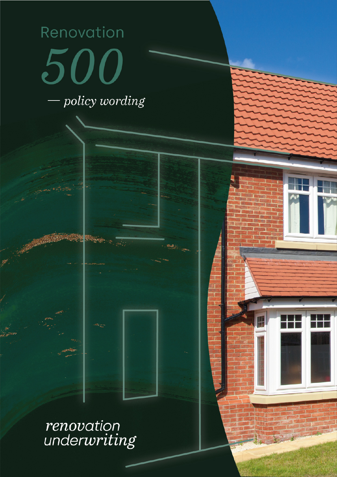# Renovation 500 policy wording

renovation<br>underwriting

P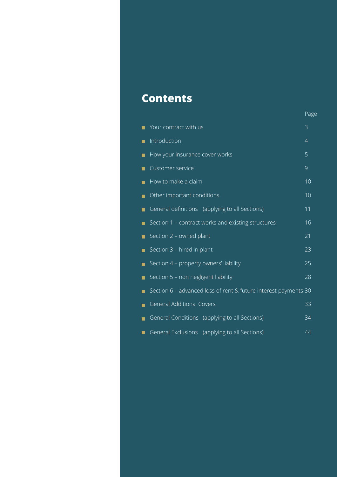### **Contents**

|                                                                 | Page |
|-----------------------------------------------------------------|------|
| Your contract with us                                           | 3    |
| Introduction                                                    | 4    |
| How your insurance cover works                                  | 5    |
| Customer service                                                | 9    |
| How to make a claim                                             | 10   |
| Other important conditions                                      | 10   |
| General definitions (applying to all Sections)                  | 11   |
| Section 1 - contract works and existing structures<br>▬         | 16   |
| Section 2 - owned plant<br>П                                    | 21   |
| Section 3 - hired in plant                                      | 23   |
| Section 4 - property owners' liability<br>П                     | 25   |
| Section 5 - non negligent liability<br>П                        | 28   |
| Section 6 - advanced loss of rent & future interest payments 30 |      |
| <b>General Additional Covers</b>                                | 33   |
| General Conditions (applying to all Sections)<br>■              | 34   |
| General Exclusions<br>(applying to all Sections)                | 44   |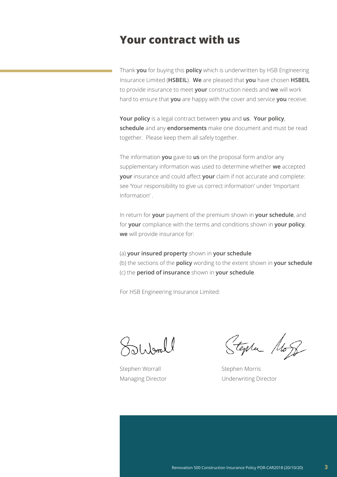### **Your contract with us**

Thank **you** for buying this **policy** which is underwritten by HSB Engineering Insurance Limited (**HSBEIL**). **We** are pleased that **you** have chosen **HSBEIL** to provide insurance to meet **your** construction needs and **we** will work hard to ensure that **you** are happy with the cover and service **you** receive.

**Your policy** is a legal contract between **you** and **us**. **Your policy**, **schedule** and any **endorsements** make one document and must be read together. Please keep them all safely together.

The information **you** gave to **us** on the proposal form and/or any supplementary information was used to determine whether **we** accepted **your** insurance and could affect **your** claim if not accurate and complete: see 'Your responsibility to give us correct information' under 'Important Information' .

In return for **your** payment of the premium shown in **your schedule**, and for **your** compliance with the terms and conditions shown in **your policy**, **we** will provide insurance for:

- (a) **your insured property** shown in **your schedule**
- (b) the sections of the **policy** wording to the extent shown in **your schedule** (c) the **period of insurance** shown in **your schedule**.

For HSB Engineering Insurance Limited:

Oliball

Stephen Worrall Stephen Morris

Stephen Mog

Managing Director **Managing Director** Underwriting Director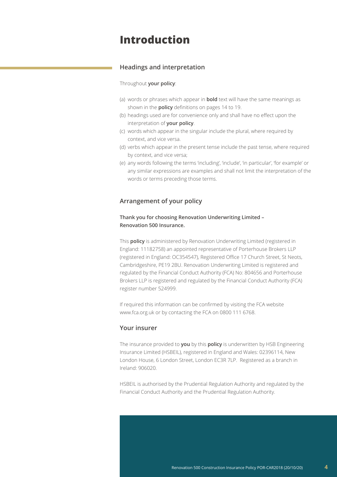### **Introduction**

### **Headings and interpretation**

### Throughout **your policy**:

- (a) words or phrases which appear in **bold** text will have the same meanings as shown in the **policy** definitions on pages 14 to 19.
- (b) headings used are for convenience only and shall have no effect upon the interpretation of **your policy**.
- (c) words which appear in the singular include the plural, where required by context, and vice versa.
- (d) verbs which appear in the present tense include the past tense, where required by context, and vice versa;
- (e) any words following the terms 'including', 'include', 'in particular', 'for example' or any similar expressions are examples and shall not limit the interpretation of the words or terms preceding those terms.

### **Arrangement of your policy**

### **Thank you for choosing Renovation Underwriting Limited – Renovation 500 Insurance.**

This **policy** is administered by Renovation Underwriting Limited (registered in England: 11182758) an appointed representative of Porterhouse Brokers LLP (registered in England: OC354547), Registered Office 17 Church Street, St Neots, Cambridgeshire, PE19 2BU. Renovation Underwriting Limited is registered and regulated by the Financial Conduct Authority (FCA) No: 804656 and Porterhouse Brokers LLP is registered and regulated by the Financial Conduct Authority (FCA) register number 524999.

If required this information can be confirmed by visiting the FCA website [www.fca.org.uk](http://www.fca.org.uk) or by contacting the FCA on 0800 111 6768.

### **Your insurer**

The insurance provided to **you** by this **policy** is underwritten by HSB Engineering Insurance Limited (HSBEIL), registered in England and Wales: 02396114, New London House, 6 London Street, London EC3R 7LP. Registered as a branch in Ireland: 906020.

HSBEIL is authorised by the Prudential Regulation Authority and regulated by the Financial Conduct Authority and the Prudential Regulation Authority.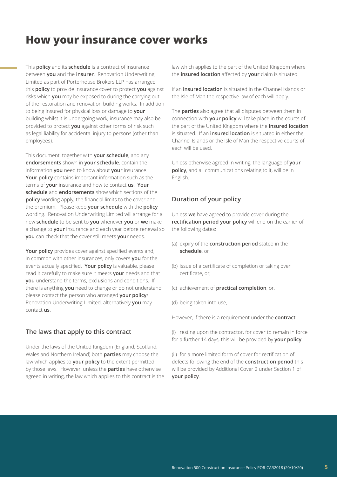### **How your insurance cover works**

This **policy** and its **schedule** is a contract of insurance between **you** and the **insurer**. Renovation Underwriting Limited as part of Porterhouse Brokers LLP has arranged this **policy** to provide insurance cover to protect **you** against risks which **you** may be exposed to during the carrying out of the restoration and renovation building works. In addition to being insured for physical loss or damage to **your** building whilst it is undergoing work, insurance may also be provided to protect **you** against other forms of risk such as legal liability for accidental injury to persons (other than employees).

This document, together with **your schedule**, and any **endorsements** shown in **your schedule**, contain the information **you** need to know about **your** insurance. **Your policy** contains important information such as the terms of **your** insurance and how to contact **us**. **Your schedule** and **endorsements** show which sections of the **policy** wording apply, the financial limits to the cover and the premium. Please keep **your schedule** with the **policy** wording. Renovation Underwriting Limited will arrange for a new **schedule** to be sent to **you** whenever **you** or **we** make a change to **your** insurance and each year before renewal so **you** can check that the cover still meets **your** needs.

**Your policy** provides cover against specified events and, in common with other insurances, only covers **you** for the events actually specified. **Your policy** is valuable, please read it carefully to make sure it meets **your** needs and that **you** understand the terms, excl**us**ions and conditions. If there is anything **you** need to change or do not understand please contact the person who arranged **your policy**/ Renovation Underwriting Limited, alternatively **you** may contact **us**.

### **The laws that apply to this contract**

Under the laws of the United Kingdom (England, Scotland, Wales and Northern Ireland) both **parties** may choose the law which applies to **your policy** to the extent permitted by those laws. However, unless the **parties** have otherwise agreed in writing, the law which applies to this contract is the law which applies to the part of the United Kingdom where the **insured location** affected by **your** claim is situated.

If an **insured location** is situated in the Channel Islands or the Isle of Man the respective law of each will apply.

The **parties** also agree that all disputes between them in connection with **your policy** will take place in the courts of the part of the United Kingdom where the **insured location** is situated. If an **insured location** is situated in either the Channel Islands or the Isle of Man the respective courts of each will be used.

Unless otherwise agreed in writing, the language of **your policy**, and all communications relating to it, will be in English.

### **Duration of your policy**

Unless **we** have agreed to provide cover during the **rectification period your policy** will end on the earlier of the following dates:

- (a) expiry of the **construction period** stated in the **schedule**, or
- (b) issue of a certificate of completion or taking over certificate, or,
- (c) achievement of **practical completion**, or,
- (d) being taken into use,

However, if there is a requirement under the **contract**:

(i) resting upon the contractor, for cover to remain in force for a further 14 days, this will be provided by **your policy**

(ii) for a more limited form of cover for rectification of defects following the end of the **construction period** this will be provided by Additional Cover 2 under Section 1 of **your policy**.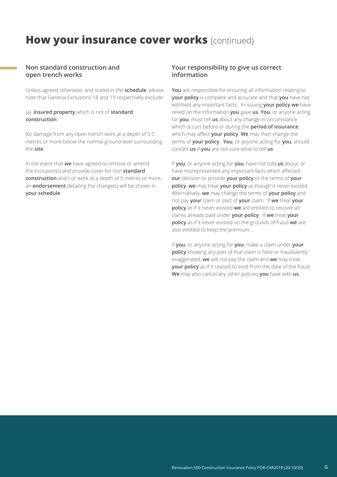### **How your insurance cover works (continued)**

### **Non standard construction and open trench works**

Unless agreed otherwise, and stated in the **schedule**, please note that General Exclusions 18 and 19 respectively exclude:

### (a) **insured property** which is not of **standard construction**.

(b) damage from any open trench work at a depth of 5.5 metres or more below the normal ground level surrounding the **site**.

In the event that **we** have agreed to remove or amend the Exclusion(s) and provide cover for non **standard construction** and / or work at a depth of 5 metres or more, an **endorsement** detailing the change(s) will be shown in **your schedule**.

### **Your responsibility to give us correct information**

**You** are responsible for ensuring all information relating to **your policy** is complete and accurate and that **you** have not withheld any important facts. In issuing **your policy we** have relied on the information **you** gave **us**. **You**, or anyone acting for **you**, must tell **us** about any change in circumstance which occurs before or during the **period of insurance** which may affect **your policy**. **We** may then change the terms of **your policy**. **You**, or anyone acting for **you**, should contact **us** if **you** are not sure what to tell **us**.

If **you**, or anyone acting for **you**, have not told **us** about, or have misrepresented any important facts which affected **our** decision to provide **your policy** or the terms of **your policy**, **we** may treat **your policy** as though it never existed. Alternatively, **we** may change the terms of **your policy** and not pay **your** claim or part of **your** claim. If **we** treat **your policy** as if it never existed **we** are entitled to recover all claims already paid under **your policy**. If **we** treat **your policy** as if it never existed on the grounds of fraud **we** are also entitled to keep the premium.

If **you**, or anyone acting for **you**, make a claim under **your policy** knowing any part of that claim is false or fraudulently exaggerated, **we** will not pay the claim and **we** may treat **your policy** as if it ceased to exist from the date of the fraud. **We** may also cancel any other policies **you** have with **us**.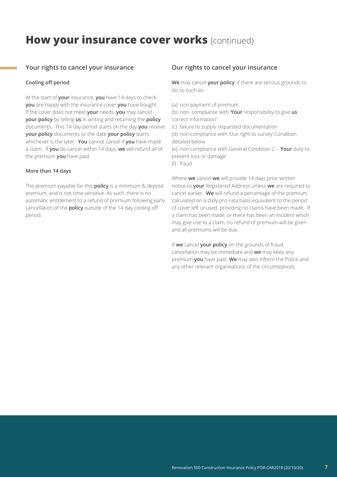### **How your insurance cover works (continued)**

### **Your rights to cancel your insurance**

### **Cooling off period**

At the start of **your** insurance, **you** have 14 days to check **you** are happy with the insurance cover **you** have bought. If the cover does not meet **your** needs, **you** may cancel **your policy** by telling **us** in writing and returning the **policy** documents. This 14 day period starts on the day **you** receive **your policy** documents or the date **your policy** starts whichever is the later. **You** cannot cancel if **you** have made a claim. If **you** do cancel within 14 days, **we** will refund all of the premium **you** have paid.

### **More than 14 days**

The premium payable for this **policy** is a minimum & deposit premium, and is not time sensitive. As such, there is no automatic entitlement to a refund of premium following early cancellation of the **policy** outside of the 14 day cooling off period.

### **Our rights to cancel your insurance**

**We** may cancel **your policy**, if there are serious grounds to do so such as:

(a) non-payment of premium

(b) non- compliance with '**Your** responsibility to give **us** correct information'

(c) failure to supply requested documentation

(d) non-compliance with 'Our right to survey' Condition detailed below

(e) non-compliance with General Condition 2 – '**Your** duty to prevent loss or damage'

(f) fraud

Where **we** cancel **we** will provide 14 days prior written notice to **your** Registered Address unless **we** are required to cancel earlier. **We** will refund a percentage of the premium calculated on a daily pro-rata basis equivalent to the period of cover left unused, providing no claims have been made. If a claim has been made, or there has been an incident which may give rise to a claim, no refund of premium will be given and all premiums will be due.

If **we** cancel **your policy** on the grounds of fraud, cancellation may be immediate and **we** may keep any premium **you** have paid. **We** may also inform the Police and any other relevant organisations of the circumstances.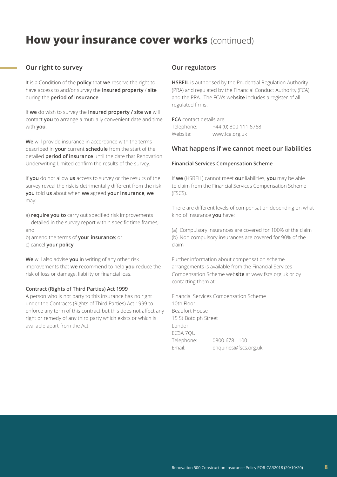### **How your insurance cover works (continued)**

### **Our right to survey**

It is a Condition of the **policy** that **we** reserve the right to have access to and/or survey the **insured property** / **site** during the **period of insurance**.

If **we** do wish to survey the **insured property / site we** will contact **you** to arrange a mutually convenient date and time with **you**.

**We** will provide insurance in accordance with the terms described in **your** current **schedule** from the start of the detailed **period of insurance** until the date that Renovation Underwriting Limited confirm the results of the survey.

If **you** do not allow **us** access to survey or the results of the survey reveal the risk is detrimentally different from the risk **you** told **us** about when **we** agreed **your insurance**, **we** may:

- a) **require you to** carry out specified risk improvements detailed in the survey report within specific time frames; and
- b) amend the terms of **your insurance**; or c) cancel **your policy**.

**We** will also advise **you** in writing of any other risk improvements that **we** recommend to help **you** reduce the risk of loss or damage, liability or financial loss.

### **Contract (Rights of Third Parties) Act 1999**

A person who is not party to this insurance has no right under the Contracts (Rights of Third Parties) Act 1999 to enforce any term of this contract but this does not affect any right or remedy of any third party which exists or which is available apart from the Act.

### **Our regulators**

**HSBEIL** is authorised by the Prudential Regulation Authority (PRA) and regulated by the Financial Conduct Authority (FCA) and the PRA. The FCA's web**site** includes a register of all regulated firms.

**FCA** contact details are: Telephone: +44 (0) 800 111 6768 Website: [www.fca.org.uk](http://www.fca.org.uk)

### **What happens if we cannot meet our liabilities**

#### **Financial Services Compensation Scheme**

If **we** (HSBEIL) cannot meet **our** liabilities, **you** may be able to claim from the Financial Services Compensation Scheme (FSCS).

There are different levels of compensation depending on what kind of insurance **you** have:

(a) Compulsory insurances are covered for 100% of the claim (b) Non compulsory insurances are covered for 90% of the claim

Further information about compensation scheme arrangements is available from the Financial Services Compensation Scheme web**site** at [www.fscs.org.uk](http://www.fscs.org.uk) or by contacting them at:

Financial Services Compensation Scheme 10th Floor Beaufort House 15 St Botolph Street London EC3A 7QU Telephone: 0800 678 1100 Email: [enquiries@fscs.org.uk](mailto:enquiries%40fscs.org.uk?subject=)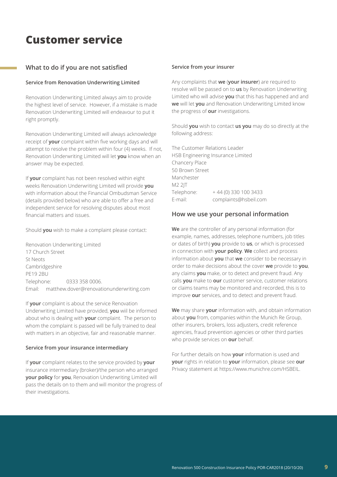### **Customer service**

### **What to do if you are not satisfied**

### **Service from Renovation Underwriting Limited**

Renovation Underwriting Limited always aim to provide the highest level of service. However, if a mistake is made Renovation Underwriting Limited will endeavour to put it right promptly.

Renovation Underwriting Limited will always acknowledge receipt of **your** complaint within five working days and will attempt to resolve the problem within four (4) weeks. If not, Renovation Underwriting Limited will let **you** know when an answer may be expected.

If **your** complaint has not been resolved within eight weeks Renovation Underwriting Limited will provide **you** with information about the Financial Ombudsman Service (details provided below) who are able to offer a free and independent service for resolving disputes about most financial matters and issues.

Should **you** wish to make a complaint please contact:

Renovation Underwriting Limited 17 Church Street St Neots Cambridgeshire PE19 2BU Telephone: 0333 358 0006. Email: [matthew.dover@renovationunderwriting.com](mailto:matthew.dover%40renovationunderwriting.com?subject=)

If **your** complaint is about the service Renovation Underwriting Limited have provided, **you** wiil be informed about who is dealing with **your** complaint. The person to whom the complaint is passed will be fully trained to deal with matters in an objective, fair and reasonable manner.

### **Service from your insurance intermediary**

If **your** complaint relates to the service provided by **your** insurance intermediary (broker)/the person who arranged **your policy** for **you**, Renovation Underwriting Limited will pass the details on to them and will monitor the progress of their investigations.

### **Service from your insurer**

Any complaints that **we** (**your insurer**) are required to resolve will be passed on to **us** by Renovation Underwriting Limited who will advise **you** that this has happened and and **we** will let **you** and Renovation Underwriting Limited know the progress of **our** investigations.

Should **you** wish to contact **us you** may do so directly at the following address:

The Customer Relations Leader HSB Engineering Insurance Limited Chancery Place 50 Brown Street Manchester M2 2JT Telephone:  $+44(0)3301003433$ E-mail: [complaints@hsbeil.com](mailto:complaints%40hsbeil.com?subject=)

### **How we use your personal information**

**We** are the controller of any personal information (for example, names, addresses, telephone numbers, job titles or dates of birth) **you** provide to **us**, or which is processed in connection with **your policy**. **We** collect and process information about **you** that **we** consider to be necessary in order to make decisions about the cover **we** provide to **you**, any claims **you** make, or to detect and prevent fraud. Any calls **you** make to **our** customer service, customer relations or claims teams may be monitored and recorded, this is to improve **our** services, and to detect and prevent fraud.

**We** may share **your** information with, and obtain information about **you** from, companies within the Munich Re Group, other insurers, brokers, loss adjusters, credit reference agencies, fraud prevention agencies or other third parties who provide services on **our** behalf.

For further details on how **your** information is used and **your** rights in relation to **your** information, please see **our** Privacy statement at [https://www.munichre.com/HSBEIL.](https://www.munichre.com/HSBEIL)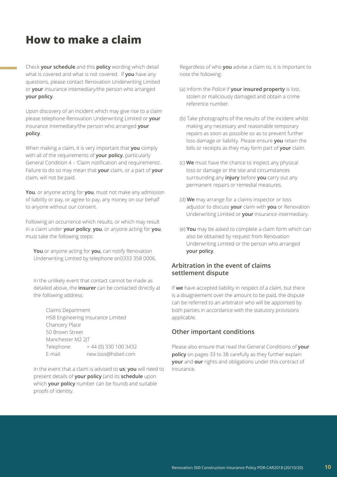### **How to make a claim**

Check **your schedule** and this **policy** wording which detail what is covered and what is not covered. If **you** have any questions, please contact Renovation Underwriting Limited or **your** insurance intemediary/the person who arranged **your policy**.

Upon discovery of an incident which may give rise to a claim please telephone Renovation Underwriting Limited or **your** insurance intemediary/the person who arranged **your policy**.

When making a claim, it is very important that **you** comply with all of the requirements of **your policy**, particularly General Condition 4 – 'Claim notification and requirements'. Failure to do so may mean that **your** claim, or a part of **your** claim, will not be paid.

**You**, or anyone acting for **you**, must not make any admission of liability or pay, or agree to pay, any money on our behalf to anyone without our consent.

Following an occurrence which results, or which may result in a claim under **your policy**, **you**, or anyone acting for **you**, must take the following steps:

**You** or anyone acting for **you**, can notify Renovation Underwriting Limited by telephone on0333 358 0006.

In the unlikely event that contact cannot be made as detailed above, the **insurer** can be contacted directly at the following address:

Claims Department HSB Engineering Insurance Limited Chancery Place 50 Brown Street Manchester M2 2JT Telephone: + 44 (0) 330 100 3432 E-mail: [new.loss@hsbeil.com](mailto:new.loss%40hsbeil.com%20?subject=)

In the event that a claim is advised to **us**; **you** will need to present details of **your policy** (and its **schedule** upon which **your policy** number can be found) and suitable proofs of identity.

Regardless of who **you** advise a claim to, it is important to note the following:

- (a) Inform the Police if **your insured property** is lost, stolen or maliciously damaged and obtain a crime reference number.
- (b) Take photographs of the results of the incident whilst making any necessary and reasonable temporary repairs as soon as possible so as to prevent further loss damage or liability. Please ensure **you** retain the bills or receipts as they may form part of **your** claim.
- (c) **We** must have the chance to inspect any physical loss or damage or the site and circumstances surrounding any **injury** before **you** carry out any permanent repairs or remedial measures.
- (d) **We** may arrange for a claims inspector or loss adjustor to discuss **your** claim with **you** or Renovation Underwriting Limited or **your** insurance intermediary.
- (e) **You** may be asked to complete a claim form which can also be obtained by request from Renovation Underwriting Limited or the person who arranged **your policy**.

### **Arbitration in the event of claims settlement dispute**

If **we** have accepted liability in respect of a claim, but there is a disagreement over the amount to be paid, the dispute can be referred to an arbitrator who will be appointed by both parties in accordance with the statutory provisions applicable.

### **Other important conditions**

Please also ensure that read the General Conditions of **your policy** on pages 33 to 38 carefully as they further explain **your** and **our** rights and obligations under this contract of insurance.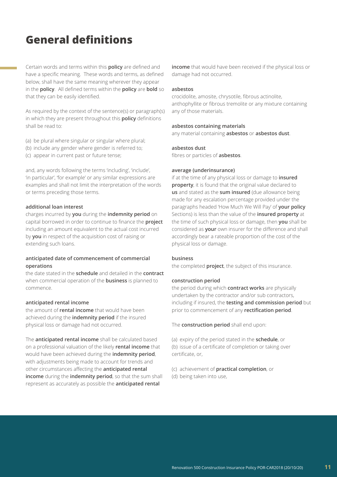## **General definitions**

Certain words and terms within this **policy** are defined and have a specific meaning. These words and terms, as defined below, shall have the same meaning wherever they appear in the **policy**. All defined terms within the **policy** are **bold** so that they can be easily identified.

As required by the context of the sentence(s) or paragraph(s) in which they are present throughout this **policy** definitions shall be read to:

- (a) be plural where singular or singular where plural;
- (b) include any gender where gender is referred to;
- (c) appear in current past or future tense;

and, any words following the terms 'including', 'include', 'in particular', 'for example' or any similar expressions are examples and shall not limit the interpretation of the words or terms preceding those terms.

### **additional loan interest**

charges incurred by **you** during the **indemnity period** on capital borrowed in order to continue to finance the **project** including an amount equivalent to the actual cost incurred by **you** in respect of the acquisition cost of raising or extending such loans.

### **anticipated date of commencement of commercial operations**

the date stated in the **schedule** and detailed in the **contract** when commercial operation of the **business** is planned to commence.

### **anticipated rental income**

the amount of **rental income** that would have been achieved during the **indemnity period** if the insured physical loss or damage had not occurred.

The **anticipated rental income** shall be calculated based on a professional valuation of the likely **rental income** that would have been achieved during the **indemnity period**, with adjustments being made to account for trends and other circumstances affecting the **anticipated rental income** during the **indemnity period**, so that the sum shall represent as accurately as possible the **anticipated rental** 

**income** that would have been received if the physical loss or damage had not occurred.

#### **asbestos**

crocidolite, amosite, chrysotile, fibrous actinolite, anthophyllite or fibrous tremolite or any mixture containing any of those materials.

#### **asbestos containing materials**

any material containing **asbestos** or **asbestos dust**.

#### **asbestos dust**

fibres or particles of **asbestos**.

### **average (underinsurance)**

if at the time of any physical loss or damage to **insured property**, it is found that the original value declared to **us** and stated as the **sum insured** (due allowance being made for any escalation percentage provided under the paragraphs headed 'How Much We Will Pay' of **your policy** Sections) is less than the value of the **insured property** at the time of such physical loss or damage, then **you** shall be considered as **your** own insurer for the difference and shall accordingly bear a rateable proportion of the cost of the physical loss or damage.

### **business**

the completed **project**, the subject of this insurance.

#### **construction period**

the period during which **contract works** are physically undertaken by the contractor and/or sub contractors, including if insured, the **testing and commission period** but prior to commencement of any **rectification period**.

The **construction period** shall end upon:

- (a) expiry of the period stated in the **schedule**, or (b) issue of a certificate of completion or taking over certificate, or,
- (c) achievement of **practical completion**, or
- (d) being taken into use,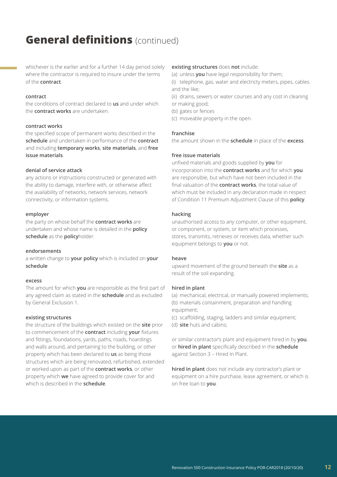whichever is the earlier and for a further 14 day period solely where the contractor is required to insure under the terms of the **contract**.

#### **contract**

the conditions of contract declared to **us** and under which the **contract works** are undertaken.

#### **contract works**

the specified scope of permanent works described in the **schedule** and undertaken in performance of the **contract** and including **temporary works**, **site materials**, and **free issue materials**.

### **denial of service attack**

any actions or instructions constructed or generated with the ability to damage, interfere with, or otherwise affect the availability of networks, network services, network connectivity, or information systems.

#### **employer**

the party on whose behalf the **contract works** are undertaken and whose name is detailed in the **policy schedule** as the **policy**holder.

### **endorsements**

a written change to **your policy** which is included on **your schedule**

#### **excess**

The amount for which **you** are responsible as the first part of any agreed claim as stated in the **schedule** and as excluded by General Exclusion 1.

#### **existing structures**

the structure of the buildings which existed on the **site** prior to commencement of the **contract** including **your** fixtures and fittings, foundations, yards, paths, roads, hoardings and walls around, and pertaining to the building, or other property which has been declared to **us** as being those structures which are being renovated, refurbished, extended or worked upon as part of the **contract works**, or other property which **we** have agreed to provide cover for and which is described in the **schedule**.

### **existing structures** does **not** include:

(a) unless **you** have legal responsibility for them;

(i) telephone, gas, water and electricty meters, pipes, cables and the like;

(ii) drains, sewers or water courses and any cost in cleaning or making good;

- (b) gates or fences
- (c) moveable property in the open.

### **franchise**

the amount shown in the **schedule** in place of the **excess**.

### **free issue materials**

unfixed materials and goods supplied by **you** for incorporation into the **contract works** and for which **you** are responsible, but which have not been included in the final valuation of the **contract works**, the total value of which must be included in any declaration made in respect of Condition 11 Premium Adjustment Clause of this **policy**.

### **hacking**

unauthorised access to any computer, or other equipment, or component, or system, or item which processes, stores, transmits, retrieves or receives data, whether such equipment belongs to **you** or not.

#### **heave**

upward movement of the ground beneath the **site** as a result of the soil expanding.

### **hired in plant**

(a) mechanical, electrical, or manually powered implements; (b) materials containment, preparation and handling equipment;

- (c) scaffolding, staging, ladders and similar equipment;
- (d) **site** huts and cabins;

or similar contractor's plant and equipment hired in by **you**, or **hired in plant** specifically described in the **schedule** against Section 3 – Hired In Plant.

**hired in plant** does not include any contractor's plant or equipment on a hire purchase, lease agreement, or which is on free loan to **you**.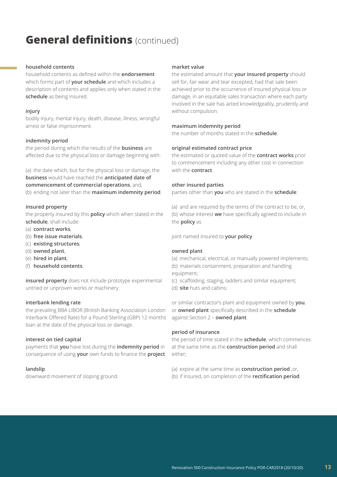### **household contents**

household contents as defined within the **endorsement** which forms part of **your schedule** and which includes a description of contents and applies only when stated in the **schedule** as being insured.

### **injury**

bodily injury, mental injury, death, disease, illness, wrongful arrest or false imprisonment.

### **indemnity period**

the period during which the results of the **business** are affected due to the physical loss or damage beginning with:

(a) the date which, but for the physical loss or damage, the **business** would have reached the **anticipated date of commencement of commercial operations**, and, (b) ending not later than the **maximum indemnity period**.

### **insured property**

the property insured by this **policy** which when stated in the **schedule**, shall include:

- (a) **contract works**,
- (b) **free issue materials**,
- (c) **existing structures**,
- (d) **owned plant**,
- (e) **hired in plant**,
- (f) **household contents**.

**insured property** does not include prototype experimental untried or unproven works or machinery.

### **interbank lending rate**

the prevailing BBA LIBOR (British Banking Association London Interbank Offered Rate) for a Pound Sterling (GBP) 12 months loan at the date of the physical loss or damage.

### **interest on tied capital**

payments that **you** have lost during the **indemnity period** in consequence of using **your** own funds to finance the **project**.

### **landslip**

downward movement of sloping ground.

### **market value**

the estimated amount that **your insured property** should sell for, fair wear and tear excepted, had that sale been achieved prior to the occurrence of insured physical loss or damage, in an equitable sales transaction where each party involved in the sale has acted knowledgeably, prudently and without compulsion.

### **maximum indemnity period**

the number of months stated in the **schedule**.

### **original estimated contract price**

the estimated or quoted value of the **contract works** prior to commencement including any other cost in connection with the **contract**.

### **other insured parties**

parties other than **you** who are stated in the **schedule**:

(a) and are required by the terms of the contract to be, or, (b) whose interest **we** have specifically agreed to include in the **policy** as

joint named insured to **your policy**.

#### **owned plant**

(a) mechanical, electrical, or manually powered implements; (b) materials containment, preparation and handling

equipment;

- (c) scaffolding, staging, ladders and similar equipment;
- (d) **site** huts and cabins;

or similar contractor's plant and equipment owned by **you**, or **owned plant** specifically described in the **schedule** against Section 2 – **owned plant**.

### **period of insurance**

the period of time stated in the **schedule**, which commences at the same time as the **construction period** and shall either;

- (a) expire at the same time as **construction period** ,or,
- (b) if insured, on completion of the **rectification period**.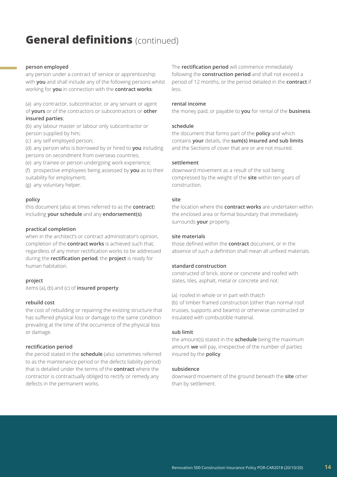### **person employed**

any person under a contract of service or apprenticeship with **you** and shall include any of the following persons whilst working for **you** in connection with the **contract works**:

(a) any contractor, subcontractor, or any servant or agent of **yours** or of the contractors or subcontractors or **other insured parties**;

(b) any labour master or labour only subcontractor or person supplied by him;

(c) any self employed person;

(d) any person who is borrowed by or hired to **you** including persons on secondment from overseas countries;

(e) any trainee or person undergoing work experience;

(f) prospective employees being assessed by **you** as to their suitability for employment;

(g) any voluntary helper.

### **policy**

this document (also at times referred to as the **contract**) including **your schedule** and any **endorsement(s)**.

### **practical completion**

when in the architect's or contract administrator's opinion, completion of the **contract works** is achieved such that, regardless of any minor rectification works to be addressed during the **rectification period**, the **project** is ready for human habitation.

### **project**

items (a), (b) and (c) of **insured property**.

### **rebuild cost**

the cost of rebuilding or repairing the existing structure that has suffered physical loss or damage to the same condition prevailing at the time of the occurrence of the physical loss or damage.

#### **rectification period**

the period stated in the **schedule** (also sometimes referred to as the maintenance period or the defects liability period) that is detailed under the terms of the **contract** where the contractor is contractually obliged to rectify or remedy any defects in the permanent works.

The **rectification period** will commence immediately following the **construction period** and shall not exceed a period of 12 months, or the period detailed in the **contract** if less.

### **rental income**

the money paid, or payable to **you** for rental of the **business**.

#### **schedule**

the document that forms part of the **policy** and which contains **your** details, the **sum(s) insured and sub limits** and the Sections of cover that are or are not insured.

#### **settlement**

downward movement as a result of the soil being compressed by the weight of the **site** within ten years of construction.

### **site**

the location where the **contract works** are undertaken within the enclosed area or formal boundary that immediately surrounds **your** property.

#### **site materials**

those defined within the **contract** document, or in the absence of such a definition shall mean all unfixed materials.

### **standard construction**

constructed of brick, stone or concrete and roofed with slates, tiles, asphalt, metal or concrete and not:

(a) roofed in whole or in part with thatch

(b) of timber framed construction (other than normal roof trusses, supports and beams) or otherwise constructed or insulated with combustible material.

### **sub limit**

the amount(s) stated in the **schedule** being the maximum amount **we** will pay, irrespective of the number of parties insured by the **policy**.

### **subsidence**

downward movement of the ground beneath the **site** other than by settlement.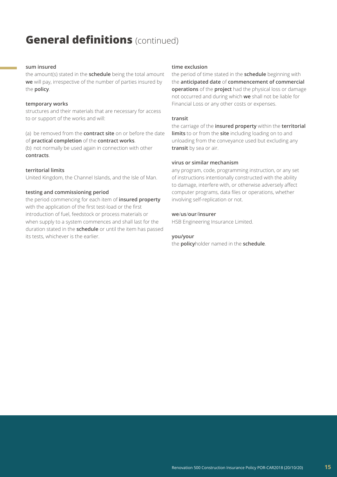### **sum insured**

the amount(s) stated in the **schedule** being the total amount **we** will pay, irrespective of the number of parties insured by the **policy**.

#### **temporary works**

structures and their materials that are necessary for access to or support of the works and will:

(a) be removed from the **contract site** on or before the date of **practical completion** of the **contract works**.

(b) not normally be used again in connection with other **contracts**.

### **territorial limits**

United Kingdom, the Channel Islands, and the Isle of Man.

### **testing and commissioning period**

the period commencing for each item of **insured property** with the application of the first test-load or the first introduction of fuel, feedstock or process materials or when supply to a system commences and shall last for the duration stated in the **schedule** or until the item has passed its tests, whichever is the earlier.

### **time exclusion**

the period of time stated in the **schedule** beginning with the **anticipated date** of **commencement of commercial operations** of the **project** had the physical loss or damage not occurred and during which **we** shall not be liable for Financial Loss or any other costs or expenses.

#### **transit**

the carriage of the **insured property** within the **territorial limits** to or from the **site** including loading on to and unloading from the conveyance used but excluding any **transit** by sea or air.

#### **virus or similar mechanism**

any program, code, programming instruction, or any set of instructions intentionally constructed with the ability to damage, interfere with, or otherwise adversely affect computer programs, data files or operations, whether involving self-replication or not.

#### **we**/**us**/**our**/**insurer**

HSB Engineering Insurance Limited.

#### **you/your**

the **policy**holder named in the **schedule**.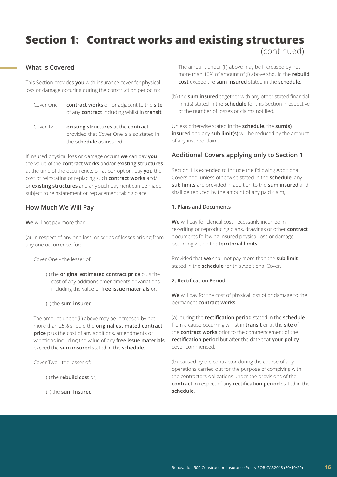### **What Is Covered**

This Section provides **you** with insurance cover for physical loss or damage occuring during the construction period to:

- Cover One **contract works** on or adjacent to the **site** of any **contract** including whilst in **transit**;
- Cover Two **existing structures** at the **contract** provided that Cover One is also stated in the **schedule** as insured.

If insured physical loss or damage occurs **we** can pay **you** the value of the **contract works** and/or **existing structures** at the time of the occurrence, or, at our option, pay **you** the cost of reinstating or replacing such **contract works** and/ or **existing structures** and any such payment can be made subject to reinstatement or replacement taking place.

### **How Much We Will Pay**

**We** will not pay more than:

(a) in respect of any one loss, or series of losses arising from any one occurrence, for:

Cover One - the lesser of:

(i) the **original estimated contract price** plus the cost of any additions amendments or variations including the value of **free issue materials** or,

### (ii) the **sum insured**

The amount under (ii) above may be increased by not more than 25% should the **original estimated contract price** plus the cost of any additions, amendments or variations including the value of any **free issue materials** exceed the **sum insured** stated in the **schedule**.

Cover Two - the lesser of:

(i) the **rebuild cost** or,

(ii) the **sum insured**

 The amount under (ii) above may be increased by not more than 10% of amount of (i) above should the **rebuild cost** exceed the **sum insured** stated in the **schedule**.

(b) the **sum insured** together with any other stated financial limit(s) stated in the **schedule** for this Section irrespective of the number of losses or claims notified.

Unless otherwise stated in the **schedule**, the **sum(s) insured** and any **sub limit(s)** will be reduced by the amount of any insured claim.

### **Additional Covers applying only to Section 1**

Section 1 is extended to include the following Additional Covers and, unless otherwise stated in the **schedule**, any **sub limits** are provided in addition to the **sum insured** and shall be reduced by the amount of any paid claim,

### **1. Plans and Documents**

**We** will pay for clerical cost necessarily incurred in re-writing or reproducing plans, drawings or other **contract** documents following insured physical loss or damage occurring within the **territorial limits**.

Provided that **we** shall not pay more than the **sub limit** stated in the **schedule** for this Additional Cover.

### **2. Rectification Period**

**We** will pay for the cost of physical loss of or damage to the permanent **contract works**:

(a) during the **rectification period** stated in the **schedule** from a cause occurring whilst in **transit** or at the **site** of the **contract works** prior to the commencement of the **rectification period** but after the date that **your policy** cover commenced.

(b) caused by the contractor during the course of any operations carried out for the purpose of complying with the contractors obligations under the provisions of the **contract** in respect of any **rectification period** stated in the **schedule**.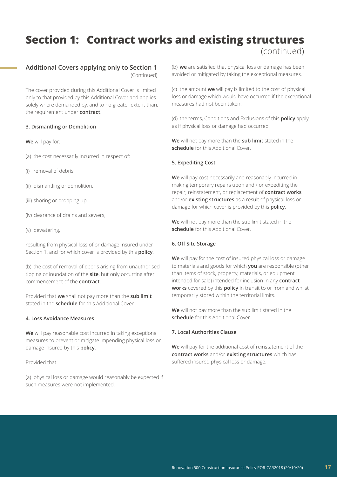### **Additional Covers applying only to Section 1**

(Continued)

The cover provided during this Additional Cover is limited only to that provided by this Additional Cover and applies solely where demanded by, and to no greater extent than, the requirement under **contract**.

### **3. Dismantling or Demolition**

**We** will pay for:

- (a) the cost necessarily incurred in respect of:
- (i) removal of debris,
- (ii) dismantling or demolition,
- (iii) shoring or propping up,
- (iv) clearance of drains and sewers,
- (v) dewatering,

resulting from physical loss of or damage insured under Section 1, and for which cover is provided by this **policy**.

(b) the cost of removal of debris arising from unauthorised tipping or inundation of the **site**, but only occurring after commencement of the **contract**.

Provided that **we** shall not pay more than the **sub limit** stated in the **schedule** for this Additional Cover.

### **4. Loss Avoidance Measures**

**We** will pay reasonable cost incurred in taking exceptional measures to prevent or mitigate impending physical loss or damage insured by this **policy**.

Provided that:

(a) physical loss or damage would reasonably be expected if such measures were not implemented.

(b) **we** are satisfied that physical loss or damage has been avoided or mitigated by taking the exceptional measures.

(c) the amount **we** will pay is limited to the cost of physical loss or damage which would have occurred if the exceptional measures had not been taken.

(d) the terms, Conditions and Exclusions of this **policy** apply as if physical loss or damage had occurred.

**We** will not pay more than the **sub limit** stated in the **schedule** for this Additional Cover.

### **5. Expediting Cost**

**We** will pay cost necessarily and reasonably incurred in making temporary repairs upon and / or expediting the repair, reinstatement, or replacement of **contract works** and/or **existing structures** as a result of physical loss or damage for which cover is provided by this **policy**.

**We** will not pay more than the sub limit stated in the **schedule** for this Additional Cover.

### **6. Off Site Storage**

**We** will pay for the cost of insured physical loss or damage to materials and goods for which **you** are responsible (other than items of stock, property, materials, or equipment intended for sale) intended for inclusion in any **contract works** covered by this **policy** in transit to or from and whilst temporarily stored within the territorial limits.

**We** will not pay more than the sub limit stated in the **schedule** for this Additional Cover.

### **7. Local Authorities Clause**

**We** will pay for the additional cost of reinstatement of the **contract works** and/or **existing structures** which has suffered insured physical loss or damage.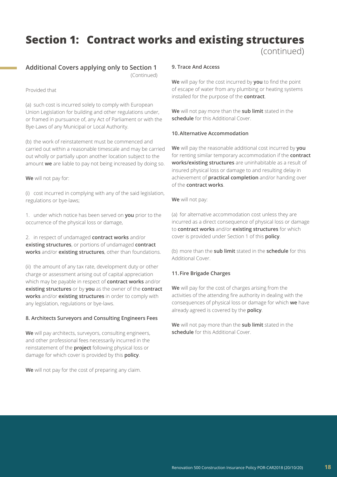### **Additional Covers applying only to Section 1**

(Continued)

### Provided that

(a) such cost is incurred solely to comply with European Union Legislation for building and other regulations under, or framed in pursuance of, any Act of Parliament or with the Bye-Laws of any Municipal or Local Authority.

(b) the work of reinstatement must be commenced and carried out within a reasonable timescale and may be carried out wholly or partially upon another location subject to the amount **we** are liable to pay not being increased by doing so.

### **We** will not pay for:

(i) cost incurred in complying with any of the said legislation, regulations or bye-laws;

1. under which notice has been served on **you** prior to the occurrence of the physical loss or damage,

2. in respect of undamaged **contract works** and/or **existing structures**, or portions of undamaged **contract works** and/or **existing structures**, other than foundations.

(ii) the amount of any tax rate, development duty or other charge or assessment arising out of capital appreciation which may be payable in respect of **contract works** and/or **existing structures** or by **you** as the owner of the **contract works** and/or **existing structures** in order to comply with any legislation, regulations or bye-laws.

### **8. Architects Surveyors and Consulting Engineers Fees**

**We** will pay architects, surveyors, consulting engineers, and other professional fees necessarily incurred in the reinstatement of the **project** following physical loss or damage for which cover is provided by this **policy**.

**We** will not pay for the cost of preparing any claim.

### **9. Trace And Access**

**We** will pay for the cost incurred by **you** to find the point of escape of water from any plumbing or heating systems installed for the purpose of the **contract**.

**We** will not pay more than the **sub limit** stated in the **schedule** for this Additional Cover.

### **10.Alternative Accommodation**

**We** will pay the reasonable additional cost incurred by **you** for renting similar temporary accommodation if the **contract works/existing structures** are uninhabitable as a result of insured physical loss or damage to and resulting delay in achievement of **practical completion** and/or handing over of the **contract works**.

### **We** will not pay:

(a) for alternative accommodation cost unless they are incurred as a direct consequence of physical loss or damage to **contract works** and/or **existing structures** for which cover is provided under Section 1 of this **policy**.

(b) more than the **sub limit** stated in the **schedule** for this Additional Cover.

### **11. Fire Brigade Charges**

**We** will pay for the cost of charges arising from the activities of the attending fire authority in dealing with the consequences of physical loss or damage for which **we** have already agreed is covered by the **policy**.

**We** will not pay more than the **sub limit** stated in the **schedule** for this Additional Cover.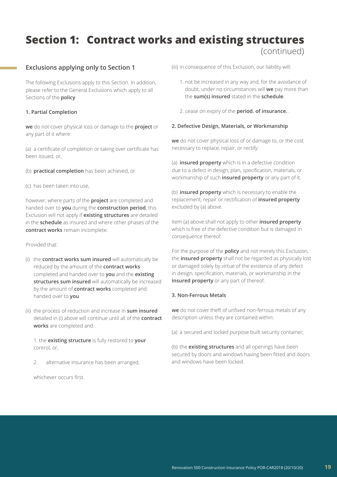### **Exclusions applying only to Section 1**

The following Exclusions apply to this Section. In addition, please refer to the General Exclusions which apply to all Sections of the **policy**.

### **1. Partial Completion**

**we** do not cover physical loss or damage to the **project** or any part of it where:

(a) a certificate of completion or taking over certificate has been issued, or,

- (b) **practical completion** has been achieved, or
- (c) has been taken into use,

however, where parts of the **project** are completed and handed over to **you** during the **construction period**, this Exclusion will not apply if **existing structures** are detailed in the **schedule** as insured and where other phases of the **contract works** remain incomplete.

Provided that:

- (i) the **contract works sum insured** will automatically be reduced by the amount of the **contract works** completed and handed over to **you** and the **existing structures sum insured** will automatically be increased by the amount of **contract works** completed and handed over to **you**.
- (ii) the process of reduction and increase in **sum insured** detailed in (i) above will continue until all of the **contract works** are completed and:

1. the **existing structure** is fully restored to **your** control, or,

2. alternative insurance has been arranged,

whichever occurs first.

(iii) in consequence of this Exclusion, our liability will:

- 1. not be increased in any way and, for the avoidance of doubt, under no circumstances will **we** pay more than the **sum(s) insured** stated in the **schedule**.
- 2. cease on expiry of the **period. of insurance.** .

### **2. Defective Design, Materials, or Workmanship**

**we** do not cover physical loss of or damage to, or the cost necessary to replace, repair, or rectify:

(a) **insured property** which is in a defective condition due to a defect in design, plan, specification, materials, or workmanship of such **insured property** or any part of it.

(b) **insured property** which is necessary to enable the replacement, repair or rectification of **insured property** excluded by (a) above.

Item (a) above shall not apply to other **insured property** which is free of the defective condition but is damaged in consequence thereof.

For the purpose of the **policy** and not merely this Exclusion, the **insured property** shall not be regarded as physically lost or damaged solely by virtue of the existence of any defect in design, specification, materials, or workmanship in the **insured property** or any part of thereof.

### **3. Non-Ferrous Metals**

**we** do not cover theft of unfixed non-ferrous metals of any description unless they are contained within:

(a) a secured and locked purpose built security container;

(b) the **existing structures** and all openings have been secured by doors and windows having been fitted and doors and windows have been locked.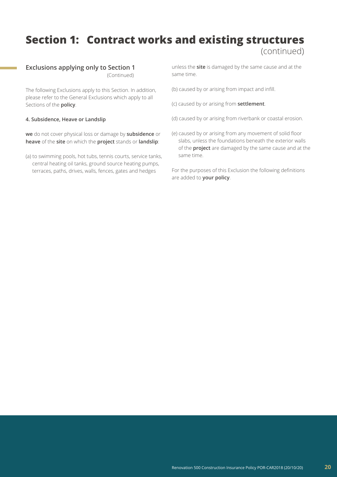### **Exclusions applying only to Section 1**

(Continued)

The following Exclusions apply to this Section. In addition, please refer to the General Exclusions which apply to all Sections of the **policy**.

### **4. Subsidence, Heave or Landslip**

**we** do not cover physical loss or damage by **subsidence** or **heave** of the **site** on which the **project** stands or **landslip**:

(a) to swimming pools, hot tubs, tennis courts, service tanks, central heating oil tanks, ground source heating pumps, terraces, paths, drives, walls, fences, gates and hedges

unless the **site** is damaged by the same cause and at the same time.

- (b) caused by or arising from impact and infill.
- (c) caused by or arising from **settlement**.
- (d) caused by or arising from riverbank or coastal erosion.
- (e) caused by or arising from any movement of solid floor slabs, unless the foundations beneath the exterior walls of the **project** are damaged by the same cause and at the same time.

For the purposes of this Exclusion the following definitions are added to **your policy**.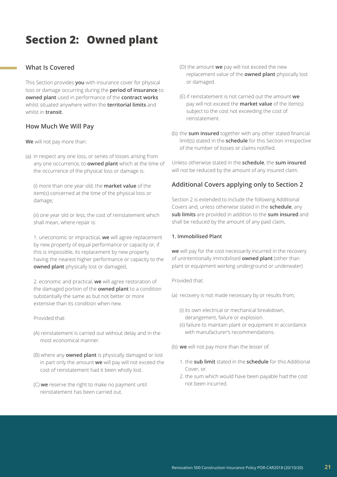## **Section 2: Owned plant**

### **What Is Covered**

This Section provides **you** with insurance cover for physical loss or damage occurring during the **period of insurance** to **owned plant** used in performance of the **contract works** whilst situated anywhere within the **territorial limits** and whilst in **transit**.

### **How Much We Will Pay**

**We** will not pay more than:

(a) in respect any one loss, or series of losses arising from any one occurrence, to **owned plant** which at the time of the occurrence of the physical loss or damage is:

(i) more than one year old; the **market value** of the item(s) concerned at the time of the physical loss or damage;

(ii) one year old or less; the cost of reinstatement which shall mean, where repair is:

1. uneconomic or impractical, **we** will agree replacement by new property of equal performance or capacity or, if this is impossible, its replacement by new property having the nearest higher performance or capacity to the **owned plant** physically lost or damaged,

2. economic and practical, **we** will agree restoration of the damaged portion of the **owned plant** to a condition substantially the same as but not better or more extensive than its condition when new.

Provided that:

- (A) reinstatement is carried out without delay and in the most economical manner.
- (B) where any **owned plant** is physically damaged or lost in part only the amount **we** will pay will not exceed the cost of reinstatement had it been wholly lost.
- (C) **we** reserve the right to make no payment until reinstatement has been carried out.
- (D) the amount **we** pay will not exceed the new replacement value of the **owned plant** physically lost or damaged.
- (E) if reinstatement is not carried out the amount **we** pay will not exceed the **market value** of the item(s) subject to the cost not exceeding the cost of reinstatement.
- (b) the **sum insured** together with any other stated financial limit(s) stated in the **schedule** for this Section irrespective of the number of losses or claims notified.

Unless otherwise stated in the **schedule**, the **sum insured** will not be reduced by the amount of any insured claim.

### **Additional Covers applying only to Section 2**

Section 2 is extended to include the following Additional Covers and, unless otherwise stated in the **schedule**, any **sub limits** are provided in addition to the **sum insured** and shall be reduced by the amount of any paid claim,

### **1. Immobilised Plant**

**we** will pay for the cost necessarily incurred in the recovery of unintentionally immobilised **owned plant** (other than plant or equipment working underground or underwater)

Provided that:

- (a) recovery is not made necessary by or results from;
	- (i) its own electrical or mechanical breakdown, derangement, failure or explosion.
	- (ii) failure to maintain plant or equipment in accordance with manufacturer's recommendations.
- (b) **we** will not pay more than the lesser of:
	- 1. the **sub limit** stated in the **schedule** for this Additional Cover, or.
	- 2. the sum which would have been payable had the cost not been incurred.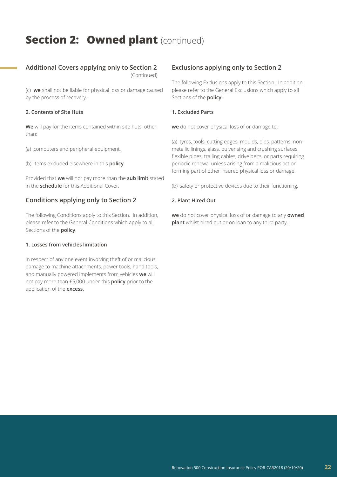### **Section 2: Owned plant (continued)**

### **Additional Covers applying only to Section 2**

(Continued)

(c) **we** shall not be liable for physical loss or damage caused by the process of recovery.

### **2. Contents of Site Huts**

**We** will pay for the items contained within site huts, other than:

(a) computers and peripheral equipment.

(b) items excluded elsewhere in this **policy**.

Provided that **we** will not pay more than the **sub limit** stated in the **schedule** for this Additional Cover.

### **Conditions applying only to Section 2**

The following Conditions apply to this Section. In addition, please refer to the General Conditions which apply to all Sections of the **policy**.

### **1. Losses from vehicles limitation**

in respect of any one event involving theft of or malicious damage to machine attachments, power tools, hand tools, and manually powered implements from vehicles **we** will not pay more than £5,000 under this **policy** prior to the application of the **excess**.

### **Exclusions applying only to Section 2**

The following Exclusions apply to this Section. In addition, please refer to the General Exclusions which apply to all Sections of the **policy**.

### **1. Excluded Parts**

**we** do not cover physical loss of or damage to:

(a) tyres, tools, cutting edges, moulds, dies, patterns, nonmetallic linings, glass, pulverising and crushing surfaces, flexible pipes, trailing cables, drive belts, or parts requiring periodic renewal unless arising from a malicious act or forming part of other insured physical loss or damage.

(b) safety or protective devices due to their functioning.

### **2. Plant Hired Out**

**we** do not cover physical loss of or damage to any **owned plant** whilst hired out or on loan to any third party.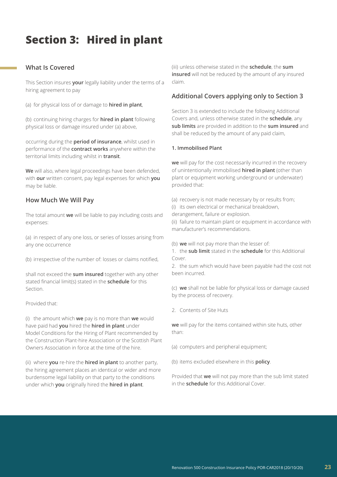# **Section 3: Hired in plant**

### **What Is Covered**

This Section insures **your** legally liability under the terms of a hiring agreement to pay

(a) for physical loss of or damage to **hired in plant**,

(b) continuing hiring charges for **hired in plant** following physical loss or damage insured under (a) above,

occurring during the **period of insurance**, whilst used in performance of the **contract works** anywhere within the territorial limits including whilst in **transit**.

**We** will also, where legal proceedings have been defended, with **our** written consent, pay legal expenses for which **you** may be liable.

### **How Much We Will Pay**

The total amount **we** will be liable to pay including costs and expenses:

(a) in respect of any one loss, or series of losses arising from any one occurrence

(b) irrespective of the number of: losses or claims notified,

shall not exceed the **sum insured** together with any other stated financial limit(s) stated in the **schedule** for this Section.

Provided that:

(i) the amount which **we** pay is no more than **we** would have paid had **you** hired the **hired in plant** under Model Conditions for the Hiring of Plant recommended by the Construction Plant-hire Association or the Scottish Plant Owners Association in force at the time of the hire.

(ii) where **you** re-hire the **hired in plant** to another party, the hiring agreement places an identical or wider and more burdensome legal liability on that party to the conditions under which **you** originally hired the **hired in plant**.

(iii) unless otherwise stated in the **schedule**, the **sum insured** will not be reduced by the amount of any insured claim.

### **Additional Covers applying only to Section 3**

Section 3 is extended to include the following Additional Covers and, unless otherwise stated in the **schedule**, any **sub limits** are provided in addition to the **sum insured** and shall be reduced by the amount of any paid claim,

### **1. Immobilised Plant**

**we** will pay for the cost necessarily incurred in the recovery of unintentionally immobilised **hired in plant** (other than plant or equipment working underground or underwater) provided that:

(a) recovery is not made necessary by or results from;

(i) its own electrical or mechanical breakdown,

derangement, failure or explosion.

(ii) failure to maintain plant or equipment in accordance with manufacturer's recommendations.

(b) **we** will not pay more than the lesser of:

1. the **sub limit** stated in the **schedule** for this Additional Cover.

2. the sum which would have been payable had the cost not been incurred.

(c) **we** shall not be liable for physical loss or damage caused by the process of recovery.

2. Contents of Site Huts

**we** will pay for the items contained within site huts, other than:

(a) computers and peripheral equipment;

(b) items excluded elsewhere in this **policy**.

Provided that **we** will not pay more than the sub limit stated in the **schedule** for this Additional Cover.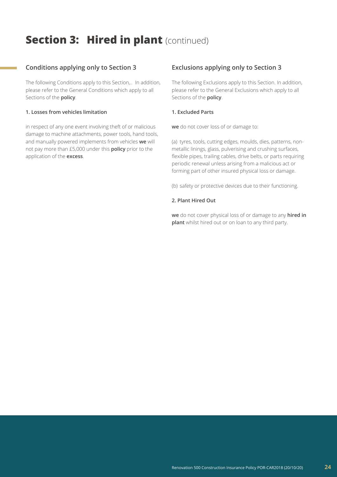# **Section 3: Hired in plant (continued)**

### **Conditions applying only to Section 3**

The following Conditions apply to this Section,.. In addition, please refer to the General Conditions which apply to all Sections of the **policy**.

### **1. Losses from vehicles limitation**

in respect of any one event involving theft of or malicious damage to machine attachments, power tools, hand tools, and manually powered implements from vehicles **we** will not pay more than £5,000 under this **policy** prior to the application of the **excess**.

### **Exclusions applying only to Section 3**

The following Exclusions apply to this Section. In addition, please refer to the General Exclusions which apply to all Sections of the **policy**.

### **1. Excluded Parts**

**we** do not cover loss of or damage to:

(a) tyres, tools, cutting edges, moulds, dies, patterns, nonmetallic linings, glass, pulverising and crushing surfaces, flexible pipes, trailing cables, drive belts, or parts requiring periodic renewal unless arising from a malicious act or forming part of other insured physical loss or damage.

(b) safety or protective devices due to their functioning.

### **2. Plant Hired Out**

**we** do not cover physical loss of or damage to any **hired in plant** whilst hired out or on loan to any third party.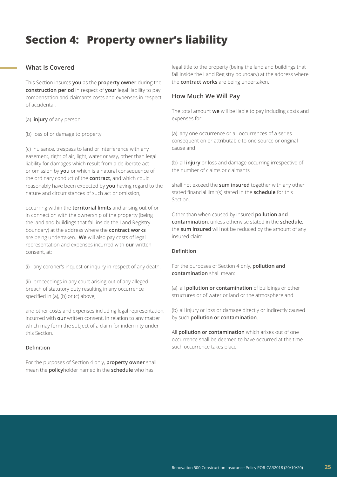# **Section 4: Property owner's liability**

### **What Is Covered**

This Section insures **you** as the **property owner** during the **construction period** in respect of **your** legal liability to pay compensation and claimants costs and expenses in respect of accidental:

(a) **injury** of any person

(b) loss of or damage to property

(c) nuisance, trespass to land or interference with any easement, right of air, light, water or way, other than legal liability for damages which result from a deliberate act or omission by **you** or which is a natural consequence of the ordinary conduct of the **contract**, and which could reasonably have been expected by **you** having regard to the nature and circumstances of such act or omission,

occurring within the **territorial limits** and arising out of or in connection with the ownership of the property (being the land and buildings that fall inside the Land Registry boundary) at the address where the **contract works** are being undertaken. **We** will also pay costs of legal representation and expenses incurred with **our** written consent, at:

(i) any coroner's inquest or inquiry in respect of any death,

(ii) proceedings in any court arising out of any alleged breach of statutory duty resulting in any occurrence specified in (a), (b) or (c) above,

and other costs and expenses including legal representation, incurred with **our** written consent, in relation to any matter which may form the subject of a claim for indemnity under this Section.

### **Definition**

For the purposes of Section 4 only, **property owner** shall mean the **policy**holder named in the **schedule** who has

legal title to the property (being the land and buildings that fall inside the Land Registry boundary) at the address where the **contract works** are being undertaken.

### **How Much We Will Pay**

The total amount **we** will be liable to pay including costs and expenses for:

(a) any one occurrence or all occurrences of a series consequent on or attributable to one source or original cause and

(b) all **injury** or loss and damage occurring irrespective of the number of claims or claimants

shall not exceed the **sum insured** together with any other stated financial limit(s) stated in the **schedule** for this Section.

Other than when caused by insured **pollution and contamination**, unless otherwise stated in the **schedule**, the **sum insured** will not be reduced by the amount of any insured claim.

### **Definition**

For the purposes of Section 4 only, **pollution and contamination** shall mean:

(a) all **pollution or contamination** of buildings or other structures or of water or land or the atmosphere and

(b) all injury or loss or damage directly or indirectly caused by such **pollution or contamination**.

All **pollution or contamination** which arises out of one occurrence shall be deemed to have occurred at the time such occurrence takes place.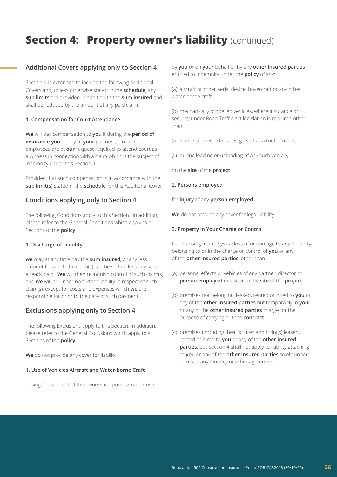# **Section 4: Property owner's liability** (continued)

### **Additional Covers applying only to Section 4**

Section 4 is extended to include the following Additional Covers and, unless otherwise stated in the **schedule**, any **sub limits** are provided in addition to the **sum insured** and shall be reduced by the amount of any paid claim,

### **1. Compensation for Court Attendance**

**We** will pay compensation to **you** if during the **period of insurance you** or any of **your** partners, directors or employees are at **our** request required to attend court as a witness in connection with a claim which is the subject of indemnity under this Section 4.

Provided that such compensation is in accordance with the **sub limit(s)** stated in the **schedule** for this Additional Cover.

### **Conditions applying only to Section 4**

The following Conditions apply to this Section. In addition, please refer to the General Conditions which apply to all Sections of the **policy**.

### **1. Discharge of Liability**

**we** may at any time pay the **sum insured**, or any less amount for which the claim(s) can be settled less any sums already paid. **We** will then relinquish control of such claim(s) and **we** will be under no further liability in respect of such claim(s), except for costs and expenses which **we** are responsible for prior to the date of such payment.

### **Exclusions applying only to Section 4**

The following Exclusions apply to this Section. In addition, please refer to the General Exclusions which apply to all Sections of the **policy**.

**We** do not provide any cover for liability:

### **1. Use of Vehicles Aircraft and Water-borne Craft**

arising from, or out of the ownership, possession, or use

by **you** or on **your** behalf or by any **other insured parties** entitled to indemnity under the **policy** of any:

(a) aircraft or other aerial device, hovercraft or any other water-borne craft.

(b) mechanically propelled vehicles, where insurance or security under Road Traffic Act legislation is required other than:

(i) where such vehicle is being used as a tool of trade,

(ii) during loading or unloading of any such vehicle,

on the **site** of the **project**.

### **2. Persons employed**

for **injury** of any **person employed**.

**We** do not provide any cover for legal liability:

### **3. Property in Your Charge or Control**

for or arising from physical loss of or damage to any property belonging to or in the charge or control of **you** or any of the **other insured parties**, other than:

- (a) personal effects or vehicles of any partner, director or **person employed** or visitor to the **site** of the **project**.
- (b) premises not belonging, leased, rented or hired to **you** or any of the **other insured parties** but temporarily in **your** or any of the **other insured parties** charge for the purpose of carrying out the **contract**.
- (c) premises (including their fixtures and fittings) leased, rented or hired to **you** or any of the **other insured parties**, but Section 4 shall not apply to liability attaching to **you** or any of the **other insured parties** solely under terms of any tenancy or other agreement.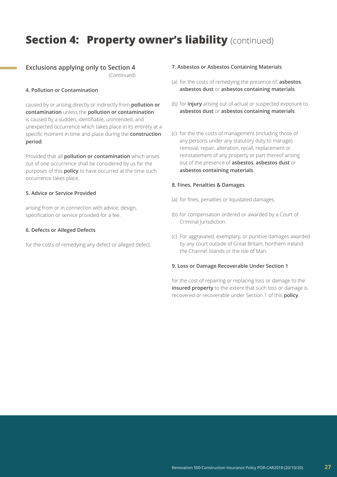### **Section 4: Property owner's liability** (continued)

### **Exclusions applying only to Section 4**

(Continued)

### **4. Pollution or Contamination**

caused by or arising directly or indirectly from **pollution or contamination** unless the **pollution or contamination** is caused by a sudden, identifiable, unintended, and unexpected occurrence which takes place in its entirety at a specific moment in time and place during the **construction period**.

Provided that all **pollution or contamination** which arises out of one occurrence shall be considered by us for the purposes of this **policy** to have occurred at the time such occurrence takes place.

### **5. Advice or Service Provided**

arising from or in connection with advice, design, specification or service provided for a fee.

### **6. Defects or Alleged Defects**

for the costs of remedying any defect or alleged defect.

### **7. Asbestos or Asbestos Containing Materials**

- (a) for the costs of remedying the presence of, **asbestos**, **asbestos dust** or **asbestos containing materials**.
- (b) for **injury** arising out of actual or suspected exposure to **asbestos dust** or **asbestos containing materials**.
- (c) for the the costs of management (including those of any persons under any statutory duty to manage) removal, repair, alteration, recall, replacement or reinstatement of any property or part thereof arising out of the presence of **asbestos**, **asbestos dust** or **asbestos containing materials**.

### **8. Fines, Penalties & Damages**

- (a) for fines, penalties or liquidated damages.
- (b) for compensation ordered or awarded by a Court of Criminal Jurisdiction.
- (c) For aggravated, exemplary, or punitive damages awarded by any court outside of Great Britain, Northern Ireland the Channel Islands or the Isle of Man.

### **9. Loss or Damage Recoverable Under Section 1**

for the cost of repairing or replacing loss or damage to the **insured property** to the extent that such loss or damage is recovered or recoverable under Section 1 of this **policy**.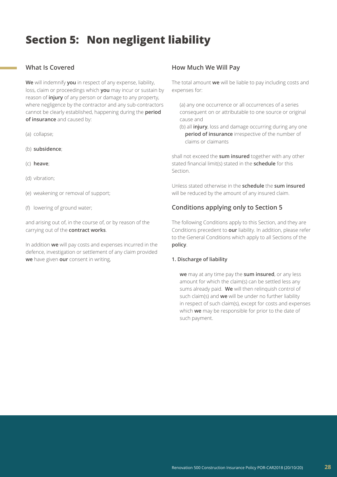# **Section 5: Non negligent liability**

### **What Is Covered**

**We** will indemnify **you** in respect of any expense, liability, loss, claim or proceedings which **you** may incur or sustain by reason of **injury** of any person or damage to any property, where negligence by the contractor and any sub-contractors cannot be clearly established, happening during the **period of insurance** and caused by:

- (a) collapse;
- (b) **subsidence**;
- (c) **heave**;
- (d) vibration;
- (e) weakening or removal of support;
- (f) lowering of ground water;

and arising out of, in the course of, or by reason of the carrying out of the **contract works**.

In addition **we** will pay costs and expenses incurred in the defence, investigation or settlement of any claim provided **we** have given **our** consent in writing,

### **How Much We Will Pay**

The total amount **we** will be liable to pay including costs and expenses for:

(a) any one occurrence or all occurrences of a series consequent on or attributable to one source or original cause and

(b) all **injury**, loss and damage occurring during any one **period of insurance** irrespective of the number of claims or claimants

shall not exceed the **sum insured** together with any other stated financial limit(s) stated in the **schedule** for this Section.

Unless stated otherwise in the **schedule** the **sum insured** will be reduced by the amount of any insured claim.

### **Conditions applying only to Section 5**

The following Conditions apply to this Section, and they are Conditions precedent to **our** liability. In addition, please refer to the General Conditions which apply to all Sections of the **policy**.

### **1. Discharge of liability**

**we** may at any time pay the **sum insured**, or any less amount for which the claim(s) can be settled less any sums already paid. **We** will then relinquish control of such claim(s) and **we** will be under no further liability in respect of such claim(s), except for costs and expenses which **we** may be responsible for prior to the date of such payment.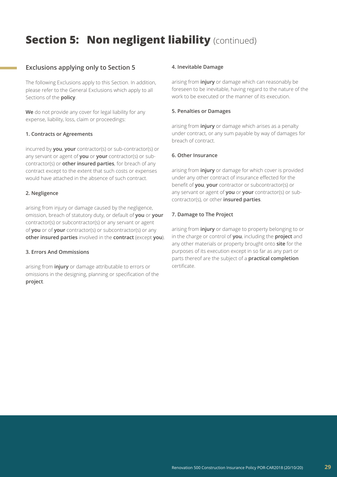# **Section 5: Non negligent liability (continued)**

### **Exclusions applying only to Section 5**

The following Exclusions apply to this Section. In addition, please refer to the General Exclusions which apply to all Sections of the **policy**.

**We** do not provide any cover for legal liability for any expense, liability, loss, claim or proceedings:

### **1. Contracts or Agreements**

incurred by **you**, **your** contractor(s) or sub-contractor(s) or any servant or agent of **you** or **your** contractor(s) or subcontractor(s) or **other insured parties**, for breach of any contract except to the extent that such costs or expenses would have attached in the absence of such contract.

### **2. Negligence**

arising from injury or damage caused by the negligence, omission, breach of statutory duty, or default of **you** or **your** contractor(s) or subcontractor(s) or any servant or agent of **you** or of **your** contractor(s) or subcontractor(s) or any **other insured parties** involved in the **contract** (except **you**).

### **3. Errors And Ommissions**

arising from **injury** or damage attributable to errors or omissions in the designing, planning or specification of the **project**.

### **4. Inevitable Damage**

arising from **injury** or damage which can reasonably be foreseen to be inevitable, having regard to the nature of the work to be executed or the manner of its execution.

#### **5. Penalties or Damages**

arising from **injury** or damage which arises as a penalty under contract, or any sum payable by way of damages for breach of contract.

### **6. Other Insurance**

arising from **injury** or damage for which cover is provided under any other contract of insurance effected for the benefit of **you**, **your** contractor or subcontractor(s) or any servant or agent of **you** or **your** contractor(s) or subcontractor(s), or other **insured parties**.

#### **7. Damage to The Project**

arising from **injury** or damage to property belonging to or in the charge or control of **you**, including the **project** and any other materials or property brought onto **site** for the purposes of its execution except in so far as any part or parts thereof are the subject of a **practical completion** certificate.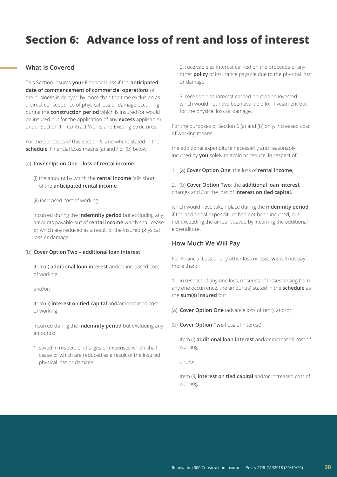# **Section 6: Advance loss of rent and loss of interest**

### **What Is Covered**

This Section insures **your** Financial Loss if the **anticipated date of commencement of commercial operations** of the business is delayed by more than the time exclusion as a direct consequence of physical loss or damage occurring during the **construction period** which is insured (or would be insured but for the application of any **excess** applicable) under Section 1 – Contract Works and Existing Structures.

For the purposes of this Section 6, and where stated in the **schedule**, Financial Loss means (a) and / or (b) below:

### (a) **Cover Option One – loss of rental income**

(i) the amount by which the **rental income** falls short of the **anticipated rental income**

#### (ii) increased cost of working

incurred during the **indemnity period** but excluding any amounts payable out of **rental income** which shall cease or which are reduced as a result of the insured physical loss or damage.

#### (b) **Cover Option Two – additional loan interest**

Item (i) **additional loan interest** and/or increased cost of working

and/or;

Item (ii) **interest on tied capital** and/or increased cost of working

incurred during the **indemnity period** but excluding any amounts:

1. saved in respect of charges or expenses which shall cease or which are reduced as a result of the insured physical loss or damage.

2. receivable as interest earned on the proceeds of any other **policy** of insurance payable due to the physical loss or damage.

3. receivable as interest earned on monies invested which would not have been available for investment but for the physical loss or damage.

For the purposes of Section 6 (a) and (b) only, increased cost of working means:

the additional expenditure necessarily and reasonably incurred by **you** solely to avoid or reduce, in respect of:

1. (a) **Cover Option One**; the loss of **rental income**,

### 2. (b) **Cover Option Two**; the **additional loan interest** charges and / or the loss of **interest on tied capital**,

which would have taken place during the **indemnity period** if the additional expenditure had not been incurred, but not exceeding the amount saved by incurring the additional expenditure.

### **How Much We Will Pay**

For Financial Loss or any other loss or cost, **we** will not pay more than:

1. in respect of any one loss, or series of losses arising from any one occurrence, the amount(s) stated in the **schedule** as the **sum(s) insured** for:

(a) **Cover Option One** (advance loss of rent), and/or,

(b) **Cover Option Two** (loss of interest):

Item (i) **additional loan interest** and/or increased cost of working

and/or

Item (ii) **interest on tied capital** and/or increased cost of working.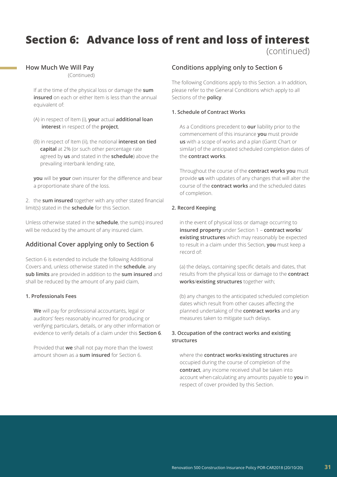# **Section 6: Advance loss of rent and loss of interest**

(continued)

### **How Much We Will Pay**

(Continued)

If at the time of the physical loss or damage the **sum insured** on each or either Item is less than the annual equivalent of:

- (A) in respect of Item (i), **your** actual **additional loan interest** in respect of the **project**,
- (B) in respect of Item (ii), the notional **interest on tied capital** at 2% (or such other percentage rate agreed by **us** and stated in the **schedule**) above the prevailing interbank lending rate,

**you** will be **your** own insurer for the difference and bear a proportionate share of the loss.

2. the **sum insured** together with any other stated financial limit(s) stated in the **schedule** for this Section.

Unless otherwise stated in the **schedule**, the sum(s) insured will be reduced by the amount of any insured claim.

### **Additional Cover applying only to Section 6**

Section 6 is extended to include the following Additional Covers and, unless otherwise stated in the **schedule**, any **sub limits** are provided in addition to the **sum insured** and shall be reduced by the amount of any paid claim,

### **1. Professionals Fees**

**We** will pay for professional accountants, legal or auditors' fees reasonably incurred for producing or verifying particulars, details, or any other information or evidence to verify details of a claim under this **Section 6**.

Provided that **we** shall not pay more than the lowest amount shown as a **sum insured** for Section 6.

### **Conditions applying only to Section 6**

The following Conditions apply to this Section. a In addition, please refer to the General Conditions which apply to all Sections of the **policy**.

### **1. Schedule of Contract Works**

As a Conditions precedent to **our** liability prior to the commencement of this insurance **you** must provide **us** with a scope of works and a plan (Gantt Chart or similar) of the anticipated scheduled completion dates of the **contract works**.

Throughout the course of the **contract works you** must provide **us** with updates of any changes that will alter the course of the **contract works** and the scheduled dates of completion.

### **2. Record Keeping**

in the event of physical loss or damage occurring to **insured property** under Section 1 – **contract works**/ **existing structures** which may reasonably be expected to result in a claim under this Section, **you** must keep a record of:

(a) the delays, containing specific details and dates, that results from the physical loss or damage to the **contract works**/**existing structures** together with;

(b) any changes to the anticipated scheduled completion dates which result from other causes affecting the planned undertaking of the **contract works** and any measures taken to mitigate such delays.

### **3. Occupation of the contract works and existing structures**

where the **contract works**/**existing structures** are occupied during the course of completion of the **contract**, any income received shall be taken into account when calculating any amounts payable to **you** in respect of cover provided by this Section.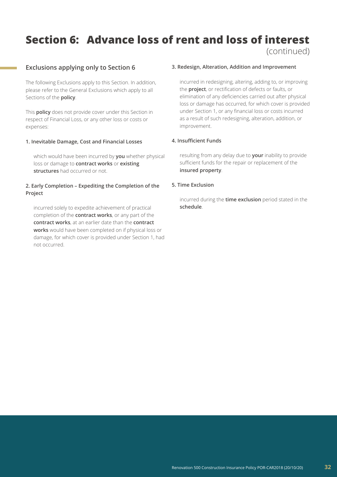# **Section 6: Advance loss of rent and loss of interest**

### (continued)

### **Exclusions applying only to Section 6**

The following Exclusions apply to this Section. In addition, please refer to the General Exclusions which apply to all Sections of the **policy**.

This **policy** does not provide cover under this Section in respect of Financial Loss, or any other loss or costs or expenses:

### **1. Inevitable Damage, Cost and Financial Losses**

which would have been incurred by **you** whether physical loss or damage to **contract works** or **existing structures** had occurred or not.

### **2. Early Completion – Expediting the Completion of the Project**

incurred solely to expedite achievement of practical completion of the **contract works**, or any part of the **contract works**, at an earlier date than the **contract works** would have been completed on if physical loss or damage, for which cover is provided under Section 1, had not occurred.

### **3. Redesign, Alteration, Addition and Improvement**

incurred in redesigning, altering, adding to, or improving the **project**, or rectification of defects or faults, or elimination of any deficiencies carried out after physical loss or damage has occurred, for which cover is provided under Section 1, or any financial loss or costs incurred as a result of such redesigning, alteration, addition, or improvement.

### **4. Insufficient Funds**

resulting from any delay due to **your** inability to provide sufficient funds for the repair or replacement of the **insured property**.

### **5. Time Exclusion**

incurred during the **time exclusion** period stated in the **schedule**.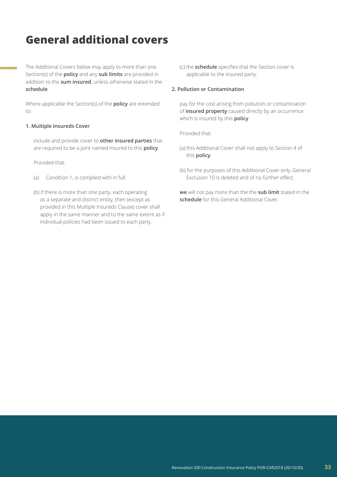## **General additional covers**

The Additional Covers below may apply to more than one Section(s) of the **policy** and any **sub limits** are provided in addition to the **sum insured**, unless otherwise stated in the **schedule**.

Where applicable the Section(s) of the **policy** are extended to:

### **1. Multiple Insureds Cover**

include and provide cover to **other insured parties** that are required to be a joint named insured to this **policy**.

Provided that:

- (a) Condition 1, is complied with in full.
- (b) if there is more than one party, each operating as a separate and distinct entity, then (except as provided in this Multiple Insureds Clause) cover shall apply in the same manner and to the same extent as if individual policies had been issued to each party.

(c) the **schedule** specifies that the Section cover is applicable to the insured party.

### **2. Pollution or Contamination**

pay for the cost arising from pollution or contamination of **insured property** caused directly by an occurrence which is insured by this **policy**.

Provided that:

- (a) this Additional Cover shall not apply to Section 4 of this **policy**.
- (b) for the purposes of this Additional Cover only, General Exclusion 10 is deleted and of no further effect.

**we** will not pay more than the the **sub limit** stated in the **schedule** for this General Additional Cover.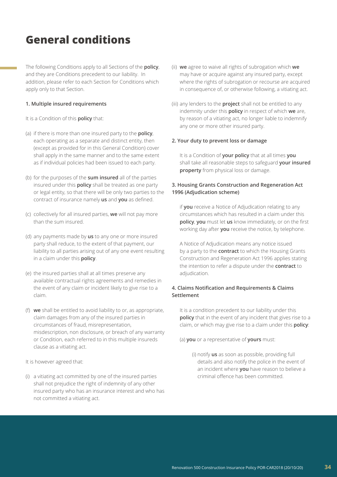# **General conditions**

The following Conditions apply to all Sections of the **policy**, and they are Conditions precedent to our liability. In addition, please refer to each Section for Conditions which apply only to that Section.

### **1. Multiple insured requirements**

It is a Condition of this **policy** that:

- (a) if there is more than one insured party to the **policy**, each operating as a separate and distinct entity, then (except as provided for in this General Condition) cover shall apply in the same manner and to the same extent as if individual policies had been issued to each party.
- (b) for the purposes of the **sum insured** all of the parties insured under this **policy** shall be treated as one party or legal entity, so that there will be only two parties to the contract of insurance namely **us** and **you** as defined.
- (c) collectively for all insured parties, **we** will not pay more than the sum insured.
- (d) any payments made by **us** to any one or more insured party shall reduce, to the extent of that payment, our liability to all parties arising out of any one event resulting in a claim under this **policy**.
- (e) the insured parties shall at all times preserve any available contractual rights agreements and remedies in the event of any claim or incident likely to give rise to a claim.
- (f) **we** shall be entitled to avoid liability to or, as appropriate, claim damages from any of the insured parties in circumstances of fraud, misrepresentation, misdescription, non disclosure, or breach of any warranty or Condition, each referred to in this multiple insureds clause as a vitiating act.

It is however agreed that:

(i) a vitiating act committed by one of the insured parties shall not prejudice the right of indemnity of any other insured party who has an insurance interest and who has not committed a vitiating act.

- (ii) **we** agree to waive all rights of subrogation which **we** may have or acquire against any insured party, except where the rights of subrogation or recourse are acquired in consequence of, or otherwise following, a vitiating act.
- (iii) any lenders to the **project** shall not be entitled to any indemnity under this **policy** in respect of which **we** are, by reason of a vitiating act, no longer liable to indemnify any one or more other insured party.

### **2. Your duty to prevent loss or damage**

It is a Condition of **your policy** that at all times **you** shall take all reasonable steps to safeguard **your insured property** from physical loss or damage.

### **3. Housing Grants Construction and Regeneration Act 1996 (Adjudication scheme)**

if **you** receive a Notice of Adjudication relating to any circumstances which has resulted in a claim under this **policy**, **you** must let **us** know immediately, or on the first working day after **you** receive the notice, by telephone.

A Notice of Adjudication means any notice issued by a party to the **contract** to which the Housing Grants Construction and Regeneration Act 1996 applies stating the intention to refer a dispute under the **contract** to adjudication.

### **4. Claims Notification and Requirements & Claims Settlement**

It is a condition precedent to our liability under this **policy** that in the event of any incident that gives rise to a claim, or which may give rise to a claim under this **policy**:

### (a) **you** or a representative of **yours** must:

(i) notify **us** as soon as possible, providing full details and also notify the police in the event of an incident where **you** have reason to believe a criminal offence has been committed.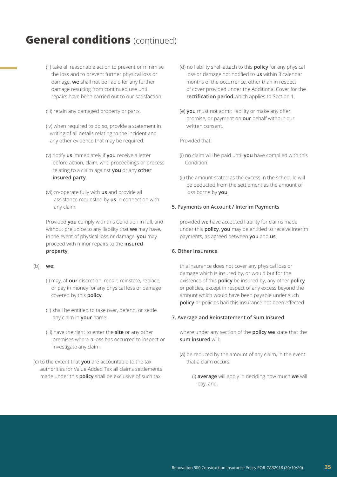- (ii) take all reasonable action to prevent or minimise the loss and to prevent further physical loss or damage, **we** shall not be liable for any further damage resulting from continued use until repairs have been carried out to our satisfaction.
- (iii) retain any damaged property or parts.
- (iv) when required to do so, provide a statement in writing of all details relating to the incident and any other evidence that may be required.
- (v) notify **us** immediately if **you** receive a letter before action, claim, writ, proceedings or process relating to a claim against **you** or any **other insured party**.
- (vi) co-operate fully with **us** and provide all assistance requested by **us** in connection with any claim.

Provided **you** comply with this Condition in full, and without prejudice to any liability that **we** may have, in the event of physical loss or damage, **you** may proceed with minor repairs to the **insured property**.

(b) **we**:

- (i) may, at **our** discretion, repair, reinstate, replace, or pay in money for any physical loss or damage covered by this **policy**.
- (ii) shall be entitled to take over, defend, or settle any claim in **your** name.
- (iii) have the right to enter the **site** or any other premises where a loss has occurred to inspect or investigate any claim.
- (c) to the extent that **you** are accountable to the tax authorities for Value Added Tax all claims settlements made under this **policy** shall be exclusive of such tax.
- (d) no liability shall attach to this **policy** for any physical loss or damage not notified to **us** within 3 calendar months of the occurrence, other than in respect of cover provided under the Additional Cover for the **rectification period** which applies to Section 1.
- (e) **you** must not admit liability or make any offer, promise, or payment on **our** behalf without our written consent.

Provided that:

- (i) no claim will be paid until **you** have complied with this Condition.
- (ii) the amount stated as the excess in the schedule will be deducted from the settlement as the amount of loss borne by **you**.

### **5. Payments on Account / Interim Payments**

provided **we** have accepted liability for claims made under this **policy**, **you** may be entitled to receive interim payments, as agreed between **you** and **us**.

### **6. Other Insurance**

this insurance does not cover any physical loss or damage which is insured by, or would but for the existence of this **policy** be insured by, any other **policy** or policies, except in respect of any excess beyond the amount which would have been payable under such **policy** or policies had this insurance not been effected.

#### **7. Average and Reinstatement of Sum Insured**

where under any section of the **policy we** state that the **sum insured** will:

- (a) be reduced by the amount of any claim, in the event that a claim occurs:
	- (i) **average** will apply in deciding how much **we** will pay, and,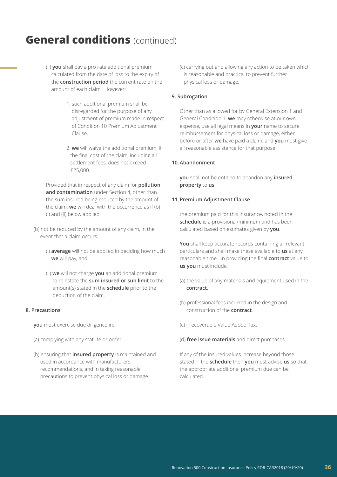- (ii) **you** shall pay a pro rata additional premium, calculated from the date of loss to the expiry of the **construction period** the current rate on the amount of each claim. However:
	- 1. such additional premium shall be disregarded for the purpose of any adjustment of premium made in respect of Condition 10 Premium Adjustment Clause.
	- 2. **we** will waive the additional premium, if the final cost of the claim, including all settlement fees, does not exceed £25,000.

Provided that in respect of any claim for **pollution and contamination** under Section 4, other than the sum insured being reduced by the amount of the claim, **we** will deal with the occurrence as if (b) (i) and (ii) below applied.

- (b) not be reduced by the amount of any claim, in the event that a claim occurs:
	- (i) **average** will not be applied in deciding how much **we** will pay, and,
	- (ii) **we** will not charge **you** an additional premium to reinstate the **sum insured or sub limit** to the amount(s) stated in the **schedule** prior to the deduction of the claim.

### **8. Precautions**

**you** must exercise due diligence in:

- (a) complying with any statute or order.
- (b) ensuring that **insured property** is maintained and used in accordance with manufacturers recommendations, and in taking reasonable precautions to prevent physical loss or damage.

(c) carrying out and allowing any action to be taken which is reasonable and practical to prevent further physical loss or damage.

### **9. Subrogation**

Other than as allowed for by General Extension 1 and General Condition 1, **we** may otherwise at our own expense, use all legal means in **your** name to secure reimbursement for physical loss or damage, either before or after **we** have paid a claim, and **you** must give all reasonable assistance for that purpose.

### **10.Abandonment**

**you** shall not be entitled to abandon any **insured property** to **us**.

### **11.Premium Adjustment Clause**

the premium paid for this insurance, noted in the **schedule** is a provisional/minimum and has been calculated based on estimates given by **you**.

**You** shall keep accurate records containing all relevant particulars and shall make these available to **us** at any reasonable time. In providing the final **contract** value to **us you** must include:

- (a) the value of any materials and equipment used in the **contract**.
- (b) professional fees incurred in the design and construction of the **contract**.

(c) irrecoverable Value Added Tax.

(d) **free issue materials** and direct purchases.

If any of the insured values increase beyond those stated in the **schedule** then **you** must advise **us** so that the appropriate additional premium due can be calculated.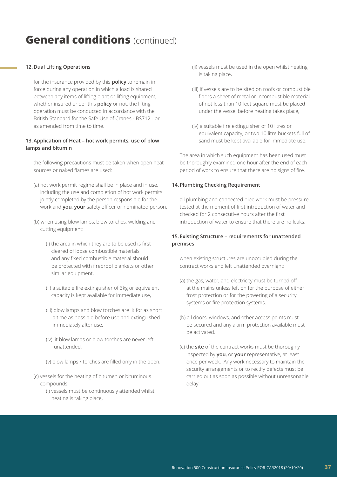### **12.Dual Lifting Operations**

for the insurance provided by this **policy** to remain in force during any operation in which a load is shared between any items of lifting plant or lifting equipment, whether insured under this **policy** or not, the lifting operation must be conducted in accordance with the British Standard for the Safe Use of Cranes - BS7121 or as amended from time to time.

### **13.Application of Heat – hot work permits, use of blow lamps and bitumin**

the following precautions must be taken when open heat sources or naked flames are used:

- (a) hot work permit regime shall be in place and in use, including the use and completion of hot work permits jointly completed by the person responsible for the work and **you**, **your** safety officer or nominated person.
- (b) when using blow lamps, blow torches, welding and cutting equipment:
	- (i) the area in which they are to be used is first cleared of loose combustible materials and any fixed combustible material should be protected with fireproof blankets or other similar equipment,
	- (ii) a suitable fire extinguisher of 3kg or equivalent capacity is kept available for immediate use,
	- (iii) blow lamps and blow torches are lit for as short a time as possible before use and extinguished immediately after use,
	- (iv) lit blow lamps or blow torches are never left unattended,
	- (v) blow lamps / torches are filled only in the open.
- (c) vessels for the heating of bitumen or bituminous compounds:
	- (i) vessels must be continuously attended whilst heating is taking place,
- (ii) vessels must be used in the open whilst heating is taking place,
- (iii) If vessels are to be sited on roofs or combustible floors a sheet of metal or incombustible material of not less than 10 feet square must be placed under the vessel before heating takes place,
- (iv) a suitable fire extinguisher of 10 litres or equivalent capacity, or two 10 litre buckets full of sand must be kept available for immediate use.

The area in which such equipment has been used must be thoroughly examined one hour after the end of each period of work to ensure that there are no signs of fire.

### **14.Plumbing Checking Requirement**

all plumbing and connected pipe work must be pressure tested at the moment of first introduction of water and checked for 2 consecutive hours after the first introduction of water to ensure that there are no leaks.

### **15.Existing Structure – requirements for unattended premises**

when existing structures are unoccupied during the contract works and left unattended overnight:

- (a) the gas, water, and electricity must be turned off at the mains unless left on for the purpose of either frost protection or for the powering of a security systems or fire protection systems.
- (b) all doors, windows, and other access points must be secured and any alarm protection available must be activated.
- (c) the **site** of the contract works must be thoroughly inspected by **you**, or **your** representative, at least once per week. Any work necessary to maintain the security arrangements or to rectify defects must be carried out as soon as possible without unreasonable delay.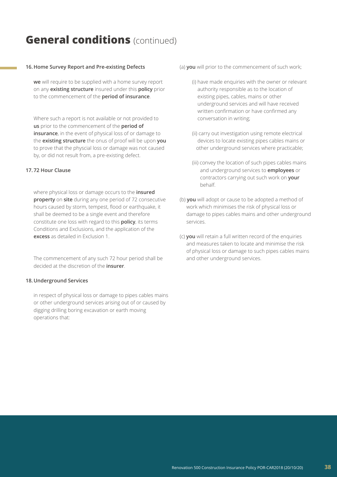### **16.Home Survey Report and Pre-existing Defects**

**we** will require to be supplied with a home survey report on any **existing structure** insured under this **policy** prior to the commencement of the **period of insurance**.

Where such a report is not available or not provided to **us** prior to the commencement of the **period of insurance**, in the event of physical loss of or damage to the **existing structure** the onus of proof will be upon **you** to prove that the physcial loss or damage was not caused by, or did not result from, a pre-existing defect.

### **17.72 Hour Clause**

where physical loss or damage occurs to the **insured property** on **site** during any one period of 72 consecutive hours caused by storm, tempest, flood or earthquake, it shall be deemed to be a single event and therefore constitute one loss with regard to this **policy**, its terms Conditions and Exclusions, and the application of the **excess** as detailed in Exclusion 1.

The commencement of any such 72 hour period shall be decided at the discretion of the **insurer**.

### **18.Underground Services**

in respect of physical loss or damage to pipes cables mains or other underground services arising out of or caused by digging drilling boring excavation or earth moving operations that:

- (a) **you** will prior to the commencement of such work;
	- (i) have made enquiries with the owner or relevant authority responsible as to the location of existing pipes, cables, mains or other underground services and will have received written confirmation or have confirmed any conversation in writing;
	- (ii) carry out investigation using remote electrical devices to locate existing pipes cables mains or other underground services where practicable;
	- (iii) convey the location of such pipes cables mains and underground services to **employees** or contractors carrying out such work on **your** behalf.
- (b) **you** will adopt or cause to be adopted a method of work which minimises the risk of physical loss or damage to pipes cables mains and other underground services.
- (c) **you** will retain a full written record of the enquiries and measures taken to locate and minimise the risk of physical loss or damage to such pipes cables mains and other underground services.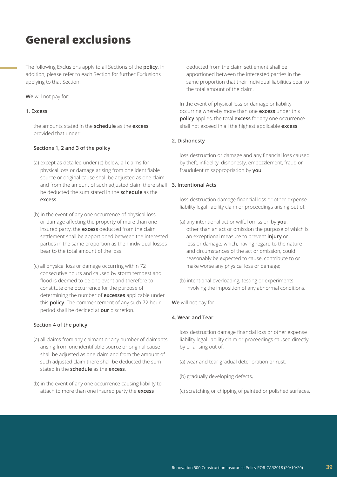### **General exclusions**

The following Exclusions apply to all Sections of the **policy**. In addition, please refer to each Section for further Exclusions applying to that Section.

### **We** will not pay for:

### **1. Excess**

the amounts stated in the **schedule** as the **excess**, provided that under:

### **Sections 1, 2 and 3 of the policy**

- (a) except as detailed under (c) below, all claims for physical loss or damage arising from one identifiable source or original cause shall be adjusted as one claim and from the amount of such adjusted claim there shall **3. Intentional Acts** be deducted the sum stated in the **schedule** as the **excess**.
- (b) in the event of any one occurrence of physical loss or damage affecting the property of more than one insured party, the **excess** deducted from the claim settlement shall be apportioned between the interested parties in the same proportion as their individual losses bear to the total amount of the loss.
- (c) all physical loss or damage occurring within 72 consecutive hours and caused by storm tempest and flood is deemed to be one event and therefore to constitute one occurrence for the purpose of determining the number of **excesses** applicable under this **policy**. The commencement of any such 72 hour period shall be decided at **our** discretion.

### **Section 4 of the policy**

- (a) all claims from any claimant or any number of claimants arising from one identifiable source or original cause shall be adjusted as one claim and from the amount of such adjusted claim there shall be deducted the sum stated in the **schedule** as the **excess**.
- (b) in the event of any one occurrence causing liability to attach to more than one insured party the **excess**

 deducted from the claim settlement shall be apportioned between the interested parties in the same proportion that their individual liabilities bear to the total amount of the claim.

In the event of physical loss or damage or liability occurring whereby more than one **excess** under this **policy** applies, the total **excess** for any one occurrence shall not exceed in all the highest applicable **excess**.

### **2. Dishonesty**

loss destruction or damage and any financial loss caused by theft, infidelity, dishonesty, embezzlement, fraud or fraudulent misappropriation by **you**.

loss destruction damage financial loss or other expense liability legal liability claim or proceedings arising out of:

- (a) any intentional act or wilful omission by **you**, other than an act or omission the purpose of which is an exceptional measure to prevent **injury** or loss or damage, which, having regard to the nature and circumstances of the act or omission, could reasonably be expected to cause, contribute to or make worse any physical loss or damage;
- (b) intentional overloading, testing or experiments involving the imposition of any abnormal conditions.

**We** will not pay for:

### **4. Wear and Tear**

loss destruction damage financial loss or other expense liability legal liability claim or proceedings caused directly by or arising out of:

- (a) wear and tear gradual deterioration or rust,
- (b) gradually developing defects,
- (c) scratching or chipping of painted or polished surfaces,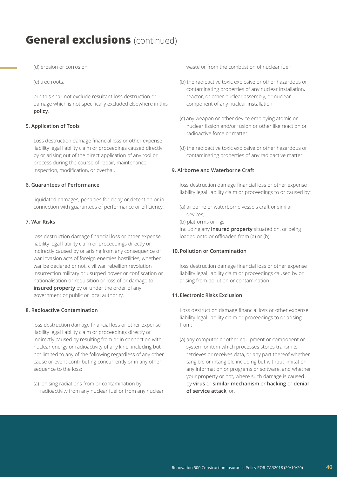(d) erosion or corrosion,

(e) tree roots,

but this shall not exclude resultant loss destruction or damage which is not specifically excluded elsewhere in this **policy**.

### **5. Application of Tools**

Loss destruction damage financial loss or other expense liability legal liability claim or proceedings caused directly by or arising out of the direct application of any tool or process during the course of repair, maintenance, inspection, modification, or overhaul.

### **6. Guarantees of Performance**

liquidated damages, penalties for delay or detention or in connection with guarantees of performance or efficiency.

### **7. War Risks**

loss destruction damage financial loss or other expense liability legal liability claim or proceedings directly or indirectly caused by or arising from any consequence of war invasion acts of foreign enemies hostilities, whether war be declared or not, civil war rebellion revolution insurrection military or usurped power or confiscation or nationalisation or requisition or loss of or damage to **insured property** by or under the order of any government or public or local authority.

### **8. Radioactive Contamination**

loss destruction damage financial loss or other expense liability legal liability claim or proceedings directly or indirectly caused by resulting from or in connection with nuclear energy or radioactivity of any kind, including but not limited to any of the following regardless of any other cause or event contributing concurrently or in any other sequence to the loss:

(a) ionising radiations from or contamination by radioactivity from any nuclear fuel or from any nuclear waste or from the combustion of nuclear fuel:

- (b) the radioactive toxic explosive or other hazardous or contaminating properties of any nuclear installation, reactor, or other nuclear assembly, or nuclear component of any nuclear installation;
- (c) any weapon or other device employing atomic or nuclear fission and/or fusion or other like reaction or radioactive force or matter.
- (d) the radioactive toxic explosive or other hazardous or contaminating properties of any radioactive matter.

### **9. Airborne and Waterborne Craft**

loss destruction damage financial loss or other expense liability legal liability claim or proceedings to or caused by:

- (a) airborne or waterborne vessels craft or similar devices;
- (b) platforms or rigs;

including any **insured property** situated on, or being loaded onto or offloaded from (a) or (b).

### **10.Pollution or Contamination**

loss destruction damage financial loss or other expense liability legal liability claim or proceedings caused by or arising from pollution or contamination.

### **11.Electronic Risks Exclusion**

Loss destruction damage financial loss or other expense liability legal liability claim or proceedings to or arising from:

(a) any computer or other equipment or component or system or item which processes stores transmits retrieves or receives data, or any part thereof whether tangible or intangible including but without limitation, any information or programs or software, and whether your property or not, where such damage is caused by **virus** or **similar mechanism** or **hacking** or **denial of service attack**, or,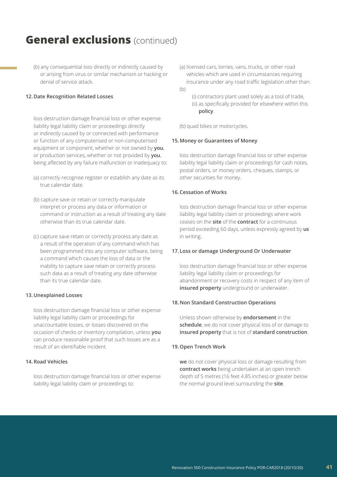(b) any consequential loss directly or indirectly caused by or arising from virus or similar mechanism or hacking or denial of service attack.

### **12.Date Recognition Related Losses**

loss destruction damage financial loss or other expense liability legal liability claim or proceedings directly or indirectly caused by or connected with performance or function of any computerised or non-computerised equipment or component, whether or not owned by **you**, or production services, whether or not provided by **you**, being affected by any failure malfunction or inadequacy to:

- (a) correctly recognise register or establish any date as its true calendar date.
- (b) capture save or retain or correctly manipulate interpret or process any data or information or command or instruction as a result of treating any date otherwise than its true calendar date.
- (c) capture save retain or correctly process any date as a result of the operation of any command which has been programmed into any computer software, being a command which causes the loss of data or the inability to capture save retain or correctly process such data as a result of treating any date otherwise than its true calendar date.

### **13.Unexplained Losses**

loss destruction damage financial loss or other expense liability legal liability claim or proceedings for unaccountable losses, or losses discovered on the occasion of checks or inventory compilation, unless **you** can produce reasonable proof that such losses are as a result of an identifiable incident.

### **14.Road Vehicles**

loss destruction damage financial loss or other expense liability legal liability claim or proceedings to:

- (a) licensed cars, lorries, vans, trucks, or other road vehicles which are used in circumstances requiring insurance under any road traffic legislation other than: (b)
	- (i) contractors plant used solely as a tool of trade, (ii) as specifically provided for elsewhere within this **policy**.

(b) quad bikes or motorcycles.

### **15.Money or Guarantees of Money**

loss destruction damage financial loss or other expense liability legal liability claim or proceedings for cash notes, postal orders, or money orders, cheques, stamps, or other securities for money.

### **16.Cessation of Works**

loss destruction damage financial loss or other expense liability legal liability claim or proceedings where work ceases on the **site** of the **contract** for a continuous period exceeding 60 days, unless expressly agreed by **us** in writing.

### **17. Loss or damage Underground Or Underwater**

loss destruction damage financial loss or other expense liability legal liability claim or proceedings for abandonment or recovery costs in respect of any item of **insured property** underground or underwater.

### **18.Non Standard Construction Operations**

Unless shown otherwise by **endorsement** in the **schedule**, we do not cover physical loss of or damage to **insured property** that is not of **standard construction**.

### **19.Open Trench Work**

**we** do not cover physical loss or damage resulting from **contract works** being undertaken at an open trench depth of 5 metres (16 feet 4.85 inches) or greater below the normal ground level surrounding the **site**.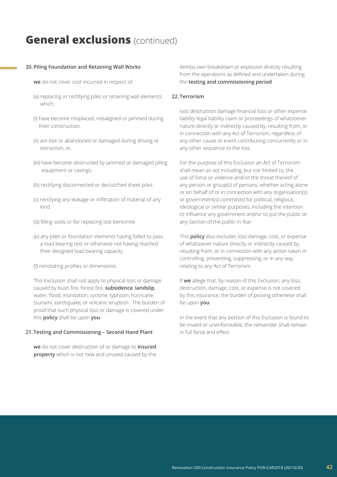### **20.Piling Foundation and Retaining Wall Works**

- **we** do not cover cost incurred in respect of:
- (a) replacing or rectifying piles or retaining wall elements which:
- (i) have become misplaced, misaligned or jammed during their construction,
- (ii) are lost or abandoned or damaged during driving or extraction, or,
- (iii) have become obstructed by jammed or damaged piling equipment or casings;
- (b) rectifying disconnected or declutched sheet piles.
- (c) rectifying any leakage or infiltration of material of any kind.
- (d) filling voids or for replacing lost bentonite.
- (e) any piles or foundation elements having failed to pass a load bearing test or otherwise not having reached their designed load bearing capacity.
- (f) reinstating profiles or dimensions.

This Exclusion shall not apply to physical loss or damage caused by bush fire, forest fire, **subsidence**, **landslip**, water, flood, inundation, cyclone, typhoon, hurricane, tsunami, earthquake, or volcanic eruption. The burden of proof that such physical loss or damage is covered under this **policy** shall be upon **you**.

### **21.Testing and Commissioning – Second Hand Plant**

**we** do not cover destruction of or damage to **insured property** which is not new and unused caused by the

item(s) own breakdown or explosion directly resulting from the operations as defined and undertaken during the **testing and commissioning period**.

### **22.Terrorism**

loss destruction damage financial loss or other expense liability legal liability claim or proceedings of whatsoever nature directly or indirectly caused by, resulting from, or in connection with any Act of Terrorism, regardless of any other cause or event contributing concurrently or in any other sequence to the loss.

For the purpose of this Exclusion an Act of Terrorism shall mean an act including, but not limited to, the use of force or violence and/or the threat thereof of any person or group(s) of persons, whether acting alone or on behalf of or in connection with any organisation(s) or government(s) committed for political, religious, ideological or similar purposes, including the intention to influence any government and/or to put the public or any Section of the public in fear.

This **policy** also excludes loss damage, cost, or expense of whatsoever nature directly or indirectly caused by, resulting from, or in connection with any action taken in controlling, preventing, suppressing, or in any way relating to any Act of Terrorism.

If **we** allege that, by reason of this Exclusion, any loss, destruction, damage, cost, or expense is not covered by this insurance, the burden of proving otherwise shall be upon **you**.

In the event that any portion of this Exclusion is found to be invalid or unenforceable, the remainder shall remain in full force and effect.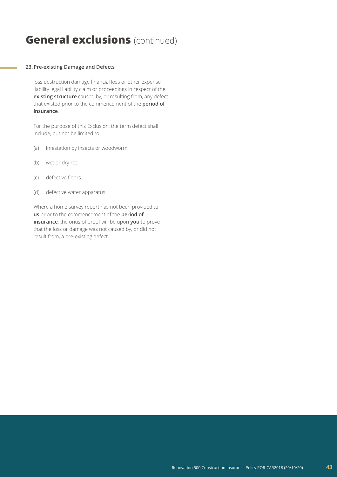### **23.Pre-existing Damage and Defects**

loss destruction damage financial loss or other expense liability legal liability claim or proceedings in respect of the **existing structure** caused by, or resulting from, any defect that existed prior to the commencement of the **period of insurance**.

For the purpose of this Exclusion, the term defect shall include, but not be limited to:

- (a) infestation by insects or woodworm.
- (b) wet or dry rot.
- (c) defective floors.
- (d) defective water apparatus.

Where a home survey report has not been provided to **us** prior to the commencement of the **period of insurance**, the onus of proof will be upon **you** to prove that the loss or damage was not caused by, or did not result from, a pre-existing defect.